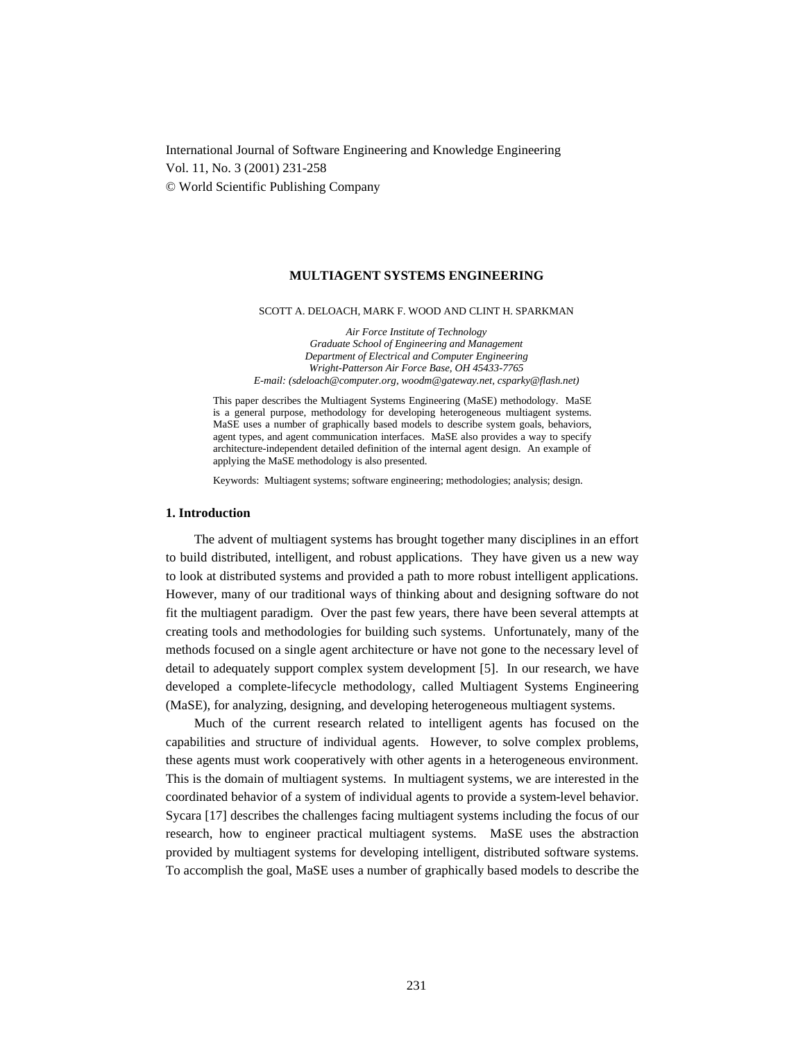International Journal of Software Engineering and Knowledge Engineering Vol. 11, No. 3 (2001) 231-258 © World Scientific Publishing Company

# **MULTIAGENT SYSTEMS ENGINEERING**

SCOTT A. DELOACH, MARK F. WOOD AND CLINT H. SPARKMAN

*Air Force Institute of Technology Graduate School of Engineering and Management Department of Electrical and Computer Engineering Wright-Patterson Air Force Base, OH 45433-7765 E-mail: (sdeloach@computer.org, woodm@gateway.net, csparky@flash.net)*

This paper describes the Multiagent Systems Engineering (MaSE) methodology. MaSE is a general purpose, methodology for developing heterogeneous multiagent systems. MaSE uses a number of graphically based models to describe system goals, behaviors, agent types, and agent communication interfaces. MaSE also provides a way to specify architecture-independent detailed definition of the internal agent design. An example of applying the MaSE methodology is also presented.

Keywords: Multiagent systems; software engineering; methodologies; analysis; design.

### **1. Introduction**

The advent of multiagent systems has brought together many disciplines in an effort to build distributed, intelligent, and robust applications. They have given us a new way to look at distributed systems and provided a path to more robust intelligent applications. However, many of our traditional ways of thinking about and designing software do not fit the multiagent paradigm. Over the past few years, there have been several attempts at creating tools and methodologies for building such systems. Unfortunately, many of the methods focused on a single agent architecture or have not gone to the necessary level of detail to adequately support complex system development [5]. In our research, we have developed a complete-lifecycle methodology, called Multiagent Systems Engineering (MaSE), for analyzing, designing, and developing heterogeneous multiagent systems.

Much of the current research related to intelligent agents has focused on the capabilities and structure of individual agents. However, to solve complex problems, these agents must work cooperatively with other agents in a heterogeneous environment. This is the domain of multiagent systems. In multiagent systems, we are interested in the coordinated behavior of a system of individual agents to provide a system-level behavior. Sycara [17] describes the challenges facing multiagent systems including the focus of our research, how to engineer practical multiagent systems. MaSE uses the abstraction provided by multiagent systems for developing intelligent, distributed software systems. To accomplish the goal, MaSE uses a number of graphically based models to describe the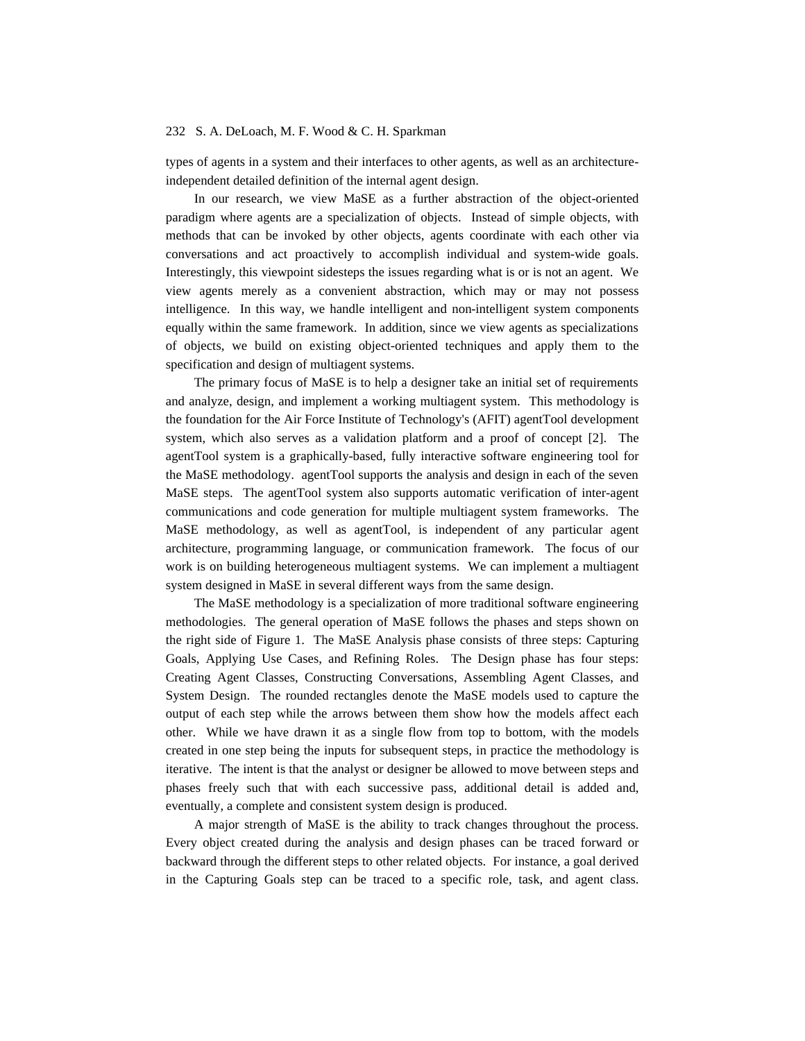types of agents in a system and their interfaces to other agents, as well as an architectureindependent detailed definition of the internal agent design.

In our research, we view MaSE as a further abstraction of the object-oriented paradigm where agents are a specialization of objects. Instead of simple objects, with methods that can be invoked by other objects, agents coordinate with each other via conversations and act proactively to accomplish individual and system-wide goals. Interestingly, this viewpoint sidesteps the issues regarding what is or is not an agent. We view agents merely as a convenient abstraction, which may or may not possess intelligence. In this way, we handle intelligent and non-intelligent system components equally within the same framework. In addition, since we view agents as specializations of objects, we build on existing object-oriented techniques and apply them to the specification and design of multiagent systems.

The primary focus of MaSE is to help a designer take an initial set of requirements and analyze, design, and implement a working multiagent system. This methodology is the foundation for the Air Force Institute of Technology's (AFIT) agentTool development system, which also serves as a validation platform and a proof of concept [2]. The agentTool system is a graphically-based, fully interactive software engineering tool for the MaSE methodology. agentTool supports the analysis and design in each of the seven MaSE steps. The agentTool system also supports automatic verification of inter-agent communications and code generation for multiple multiagent system frameworks. The MaSE methodology, as well as agentTool, is independent of any particular agent architecture, programming language, or communication framework. The focus of our work is on building heterogeneous multiagent systems. We can implement a multiagent system designed in MaSE in several different ways from the same design.

The MaSE methodology is a specialization of more traditional software engineering methodologies. The general operation of MaSE follows the phases and steps shown on the right side of Figure 1. The MaSE Analysis phase consists of three steps: Capturing Goals, Applying Use Cases, and Refining Roles. The Design phase has four steps: Creating Agent Classes, Constructing Conversations, Assembling Agent Classes, and System Design. The rounded rectangles denote the MaSE models used to capture the output of each step while the arrows between them show how the models affect each other. While we have drawn it as a single flow from top to bottom, with the models created in one step being the inputs for subsequent steps, in practice the methodology is iterative. The intent is that the analyst or designer be allowed to move between steps and phases freely such that with each successive pass, additional detail is added and, eventually, a complete and consistent system design is produced.

A major strength of MaSE is the ability to track changes throughout the process. Every object created during the analysis and design phases can be traced forward or backward through the different steps to other related objects. For instance, a goal derived in the Capturing Goals step can be traced to a specific role, task, and agent class.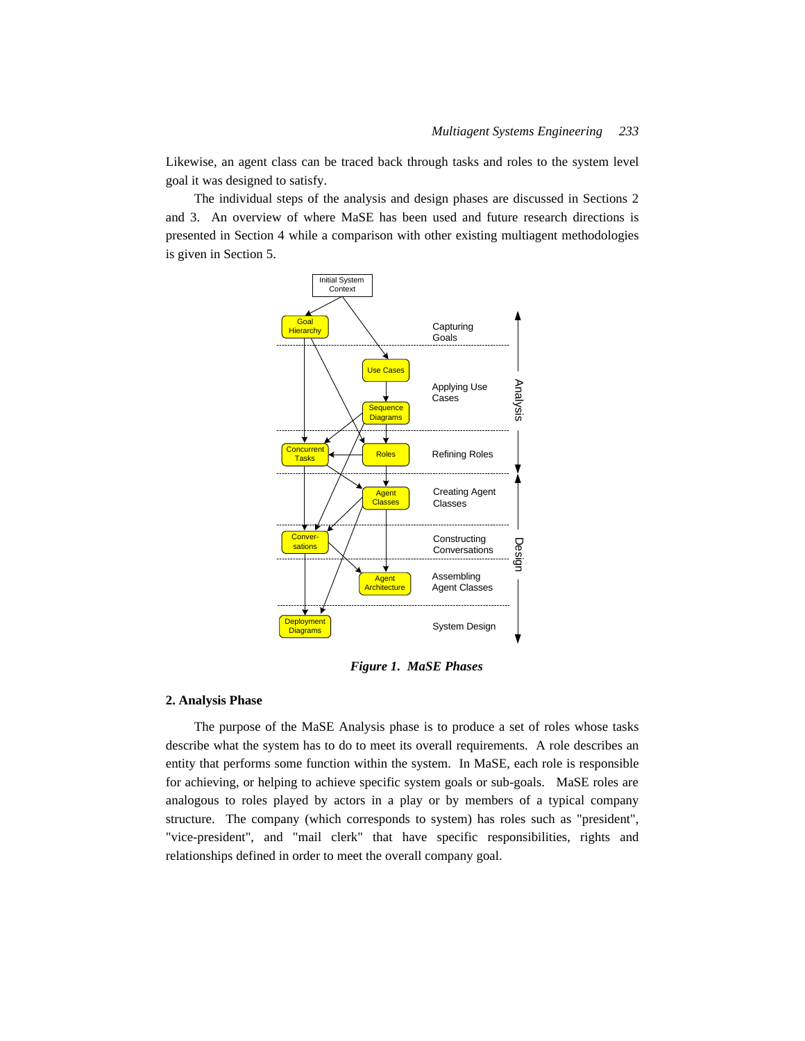Likewise, an agent class can be traced back through tasks and roles to the system level goal it was designed to satisfy.

The individual steps of the analysis and design phases are discussed in Sections 2 and 3. An overview of where MaSE has been used and future research directions is presented in Section 4 while a comparison with other existing multiagent methodologies is given in Section 5.



*Figure 1. MaSE Phases*

# **2. Analysis Phase**

The purpose of the MaSE Analysis phase is to produce a set of roles whose tasks describe what the system has to do to meet its overall requirements. A role describes an entity that performs some function within the system. In MaSE, each role is responsible for achieving, or helping to achieve specific system goals or sub-goals. MaSE roles are analogous to roles played by actors in a play or by members of a typical company structure. The company (which corresponds to system) has roles such as "president", "vice-president", and "mail clerk" that have specific responsibilities, rights and relationships defined in order to meet the overall company goal.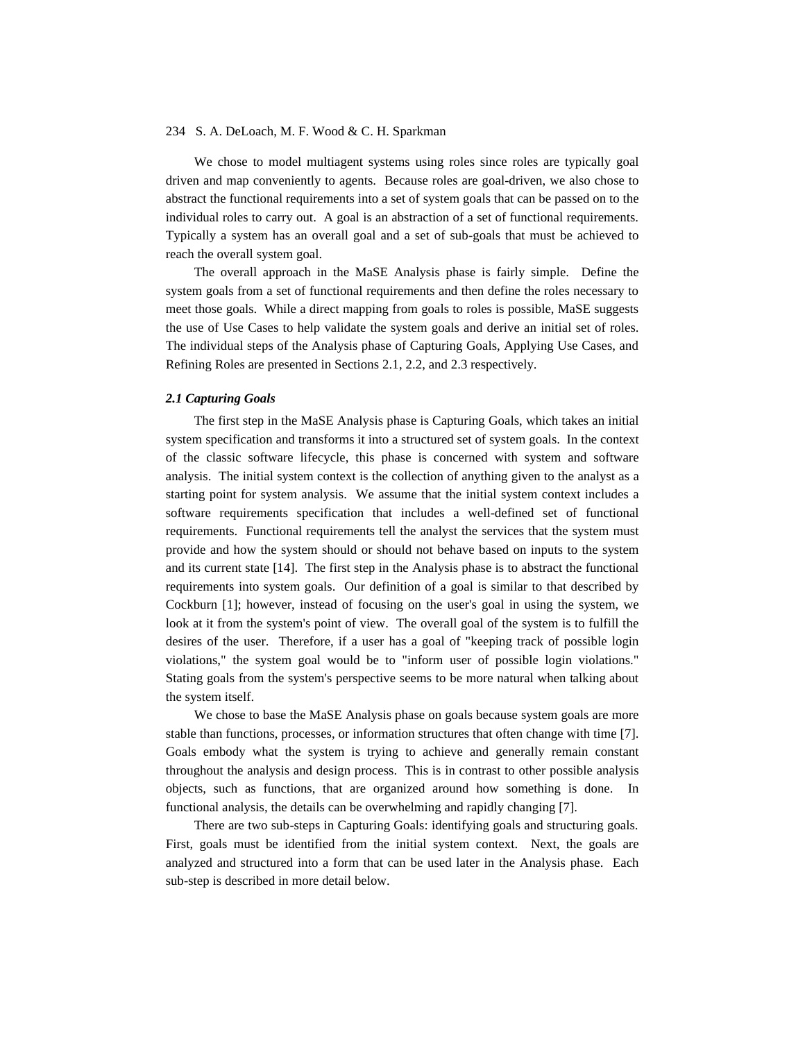We chose to model multiagent systems using roles since roles are typically goal driven and map conveniently to agents. Because roles are goal-driven, we also chose to abstract the functional requirements into a set of system goals that can be passed on to the individual roles to carry out. A goal is an abstraction of a set of functional requirements. Typically a system has an overall goal and a set of sub-goals that must be achieved to reach the overall system goal.

The overall approach in the MaSE Analysis phase is fairly simple. Define the system goals from a set of functional requirements and then define the roles necessary to meet those goals. While a direct mapping from goals to roles is possible, MaSE suggests the use of Use Cases to help validate the system goals and derive an initial set of roles. The individual steps of the Analysis phase of Capturing Goals, Applying Use Cases, and Refining Roles are presented in Sections 2.1, 2.2, and 2.3 respectively.

# *2.1 Capturing Goals*

The first step in the MaSE Analysis phase is Capturing Goals, which takes an initial system specification and transforms it into a structured set of system goals. In the context of the classic software lifecycle, this phase is concerned with system and software analysis. The initial system context is the collection of anything given to the analyst as a starting point for system analysis. We assume that the initial system context includes a software requirements specification that includes a well-defined set of functional requirements. Functional requirements tell the analyst the services that the system must provide and how the system should or should not behave based on inputs to the system and its current state [14]. The first step in the Analysis phase is to abstract the functional requirements into system goals. Our definition of a goal is similar to that described by Cockburn [1]; however, instead of focusing on the user's goal in using the system, we look at it from the system's point of view. The overall goal of the system is to fulfill the desires of the user. Therefore, if a user has a goal of "keeping track of possible login violations," the system goal would be to "inform user of possible login violations." Stating goals from the system's perspective seems to be more natural when talking about the system itself.

We chose to base the MaSE Analysis phase on goals because system goals are more stable than functions, processes, or information structures that often change with time [7]. Goals embody what the system is trying to achieve and generally remain constant throughout the analysis and design process. This is in contrast to other possible analysis objects, such as functions, that are organized around how something is done. In functional analysis, the details can be overwhelming and rapidly changing [7].

There are two sub-steps in Capturing Goals: identifying goals and structuring goals. First, goals must be identified from the initial system context. Next, the goals are analyzed and structured into a form that can be used later in the Analysis phase. Each sub-step is described in more detail below.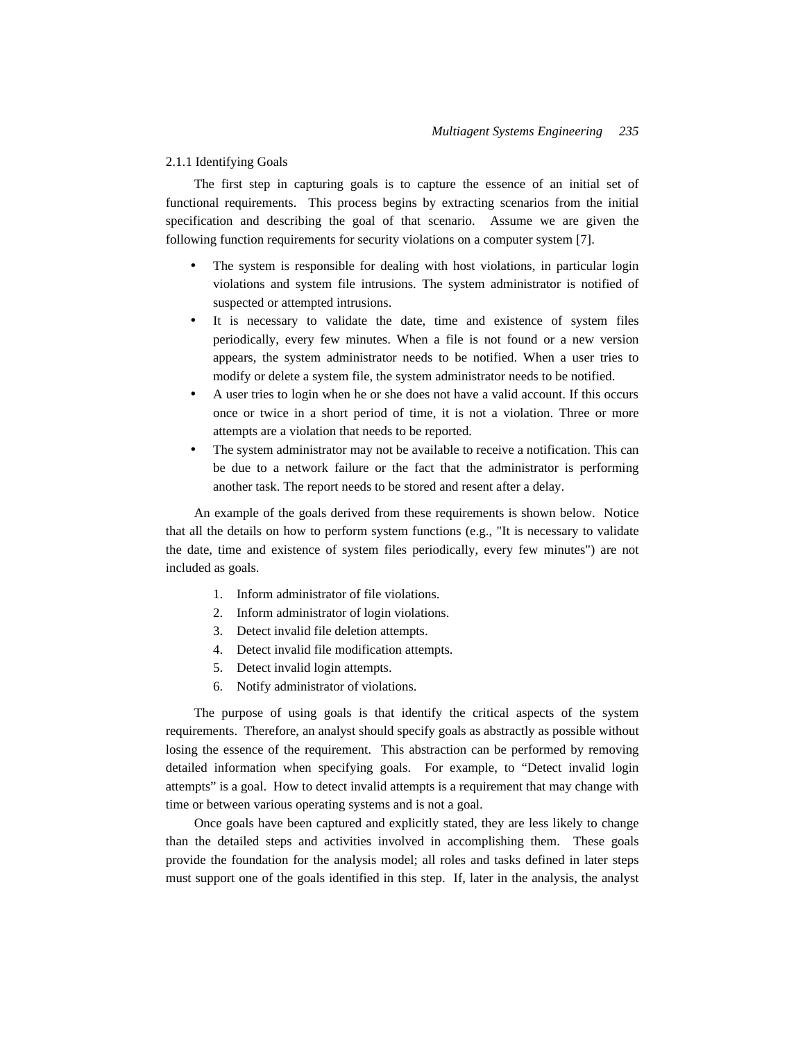# 2.1.1 Identifying Goals

The first step in capturing goals is to capture the essence of an initial set of functional requirements. This process begins by extracting scenarios from the initial specification and describing the goal of that scenario. Assume we are given the following function requirements for security violations on a computer system [7].

- The system is responsible for dealing with host violations, in particular login violations and system file intrusions. The system administrator is notified of suspected or attempted intrusions.
- It is necessary to validate the date, time and existence of system files periodically, every few minutes. When a file is not found or a new version appears, the system administrator needs to be notified. When a user tries to modify or delete a system file, the system administrator needs to be notified.
- A user tries to login when he or she does not have a valid account. If this occurs once or twice in a short period of time, it is not a violation. Three or more attempts are a violation that needs to be reported.
- The system administrator may not be available to receive a notification. This can be due to a network failure or the fact that the administrator is performing another task. The report needs to be stored and resent after a delay.

An example of the goals derived from these requirements is shown below. Notice that all the details on how to perform system functions (e.g., "It is necessary to validate the date, time and existence of system files periodically, every few minutes") are not included as goals.

- 1. Inform administrator of file violations.
- 2. Inform administrator of login violations.
- 3. Detect invalid file deletion attempts.
- 4. Detect invalid file modification attempts.
- 5. Detect invalid login attempts.
- 6. Notify administrator of violations.

The purpose of using goals is that identify the critical aspects of the system requirements. Therefore, an analyst should specify goals as abstractly as possible without losing the essence of the requirement. This abstraction can be performed by removing detailed information when specifying goals. For example, to "Detect invalid login attempts" is a goal. How to detect invalid attempts is a requirement that may change with time or between various operating systems and is not a goal.

Once goals have been captured and explicitly stated, they are less likely to change than the detailed steps and activities involved in accomplishing them. These goals provide the foundation for the analysis model; all roles and tasks defined in later steps must support one of the goals identified in this step. If, later in the analysis, the analyst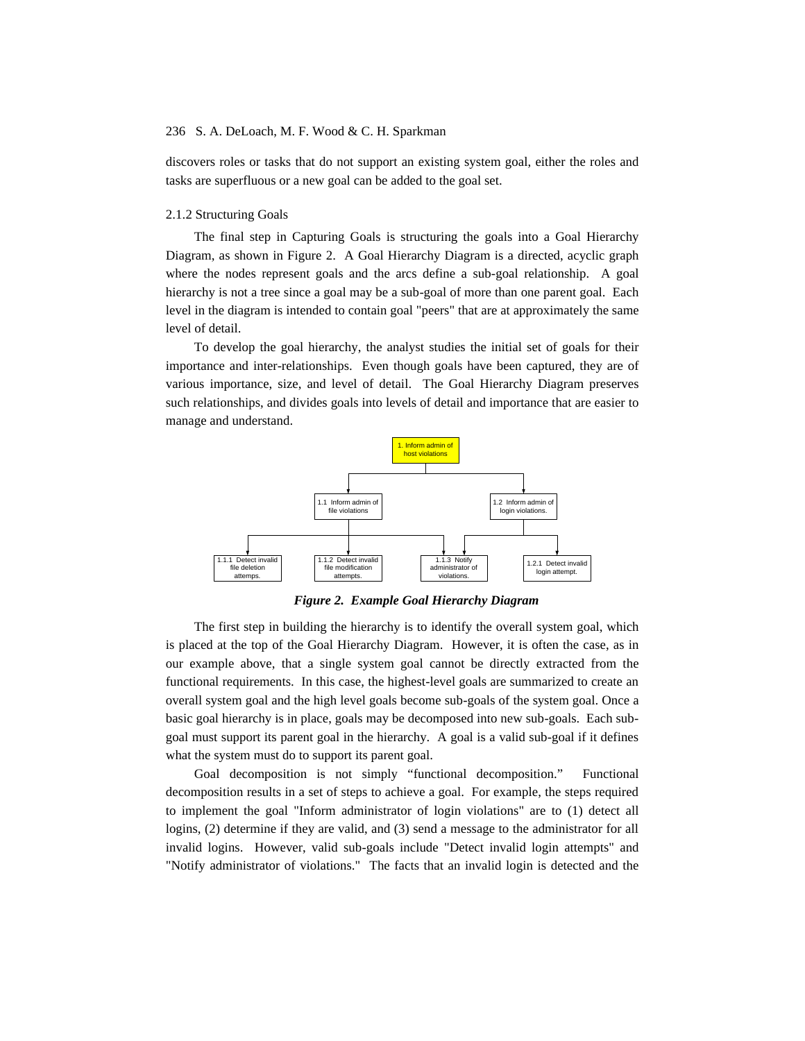discovers roles or tasks that do not support an existing system goal, either the roles and tasks are superfluous or a new goal can be added to the goal set.

# 2.1.2 Structuring Goals

The final step in Capturing Goals is structuring the goals into a Goal Hierarchy Diagram, as shown in Figure 2. A Goal Hierarchy Diagram is a directed, acyclic graph where the nodes represent goals and the arcs define a sub-goal relationship. A goal hierarchy is not a tree since a goal may be a sub-goal of more than one parent goal. Each level in the diagram is intended to contain goal "peers" that are at approximately the same level of detail.

To develop the goal hierarchy, the analyst studies the initial set of goals for their importance and inter-relationships. Even though goals have been captured, they are of various importance, size, and level of detail. The Goal Hierarchy Diagram preserves such relationships, and divides goals into levels of detail and importance that are easier to manage and understand.



*Figure 2. Example Goal Hierarchy Diagram*

The first step in building the hierarchy is to identify the overall system goal, which is placed at the top of the Goal Hierarchy Diagram. However, it is often the case, as in our example above, that a single system goal cannot be directly extracted from the functional requirements. In this case, the highest-level goals are summarized to create an overall system goal and the high level goals become sub-goals of the system goal. Once a basic goal hierarchy is in place, goals may be decomposed into new sub-goals. Each subgoal must support its parent goal in the hierarchy. A goal is a valid sub-goal if it defines what the system must do to support its parent goal.

Goal decomposition is not simply "functional decomposition." Functional decomposition results in a set of steps to achieve a goal. For example, the steps required to implement the goal "Inform administrator of login violations" are to (1) detect all logins, (2) determine if they are valid, and (3) send a message to the administrator for all invalid logins. However, valid sub-goals include "Detect invalid login attempts" and "Notify administrator of violations." The facts that an invalid login is detected and the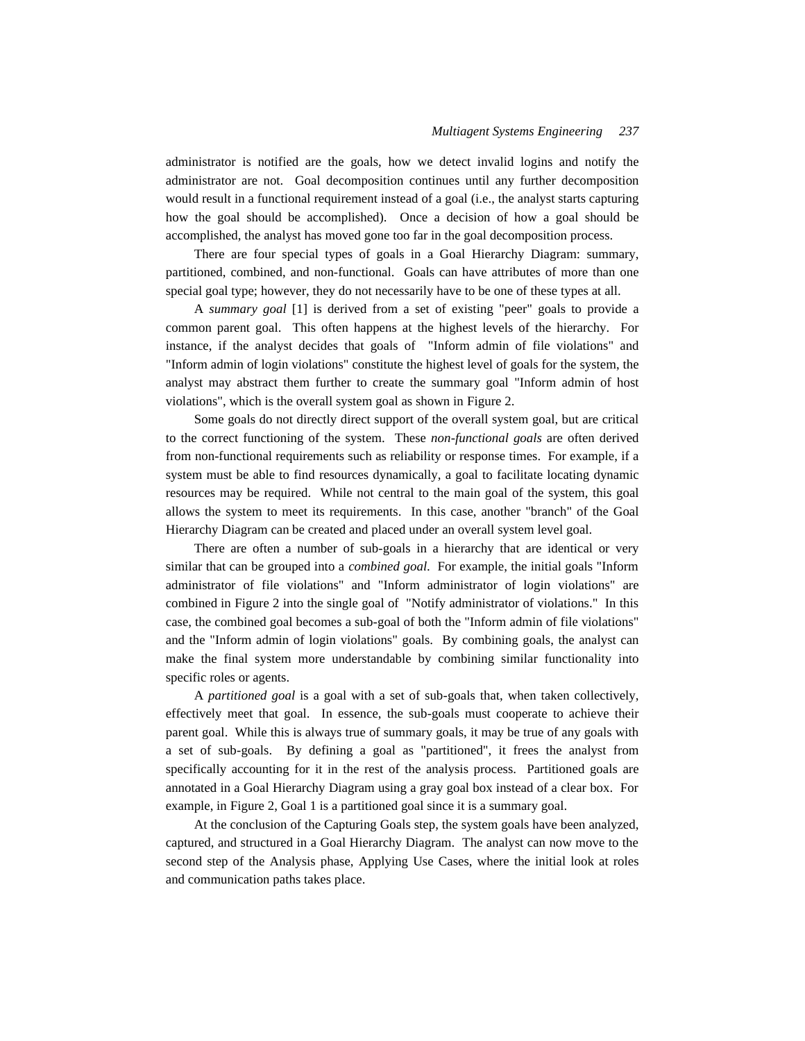## *Multiagent Systems Engineering 237*

administrator is notified are the goals, how we detect invalid logins and notify the administrator are not. Goal decomposition continues until any further decomposition would result in a functional requirement instead of a goal (i.e., the analyst starts capturing how the goal should be accomplished). Once a decision of how a goal should be accomplished, the analyst has moved gone too far in the goal decomposition process.

There are four special types of goals in a Goal Hierarchy Diagram: summary, partitioned, combined, and non-functional. Goals can have attributes of more than one special goal type; however, they do not necessarily have to be one of these types at all.

A *summary goal* [1] is derived from a set of existing "peer" goals to provide a common parent goal. This often happens at the highest levels of the hierarchy. For instance, if the analyst decides that goals of "Inform admin of file violations" and "Inform admin of login violations" constitute the highest level of goals for the system, the analyst may abstract them further to create the summary goal "Inform admin of host violations", which is the overall system goal as shown in Figure 2.

Some goals do not directly direct support of the overall system goal, but are critical to the correct functioning of the system. These *non-functional goals* are often derived from non-functional requirements such as reliability or response times. For example, if a system must be able to find resources dynamically, a goal to facilitate locating dynamic resources may be required. While not central to the main goal of the system, this goal allows the system to meet its requirements. In this case, another "branch" of the Goal Hierarchy Diagram can be created and placed under an overall system level goal.

There are often a number of sub-goals in a hierarchy that are identical or very similar that can be grouped into a *combined goal*. For example, the initial goals "Inform administrator of file violations" and "Inform administrator of login violations" are combined in Figure 2 into the single goal of "Notify administrator of violations." In this case, the combined goal becomes a sub-goal of both the "Inform admin of file violations" and the "Inform admin of login violations" goals. By combining goals, the analyst can make the final system more understandable by combining similar functionality into specific roles or agents.

A *partitioned goal* is a goal with a set of sub-goals that, when taken collectively, effectively meet that goal. In essence, the sub-goals must cooperate to achieve their parent goal. While this is always true of summary goals, it may be true of any goals with a set of sub-goals. By defining a goal as "partitioned", it frees the analyst from specifically accounting for it in the rest of the analysis process. Partitioned goals are annotated in a Goal Hierarchy Diagram using a gray goal box instead of a clear box. For example, in Figure 2, Goal 1 is a partitioned goal since it is a summary goal.

At the conclusion of the Capturing Goals step, the system goals have been analyzed, captured, and structured in a Goal Hierarchy Diagram. The analyst can now move to the second step of the Analysis phase, Applying Use Cases, where the initial look at roles and communication paths takes place.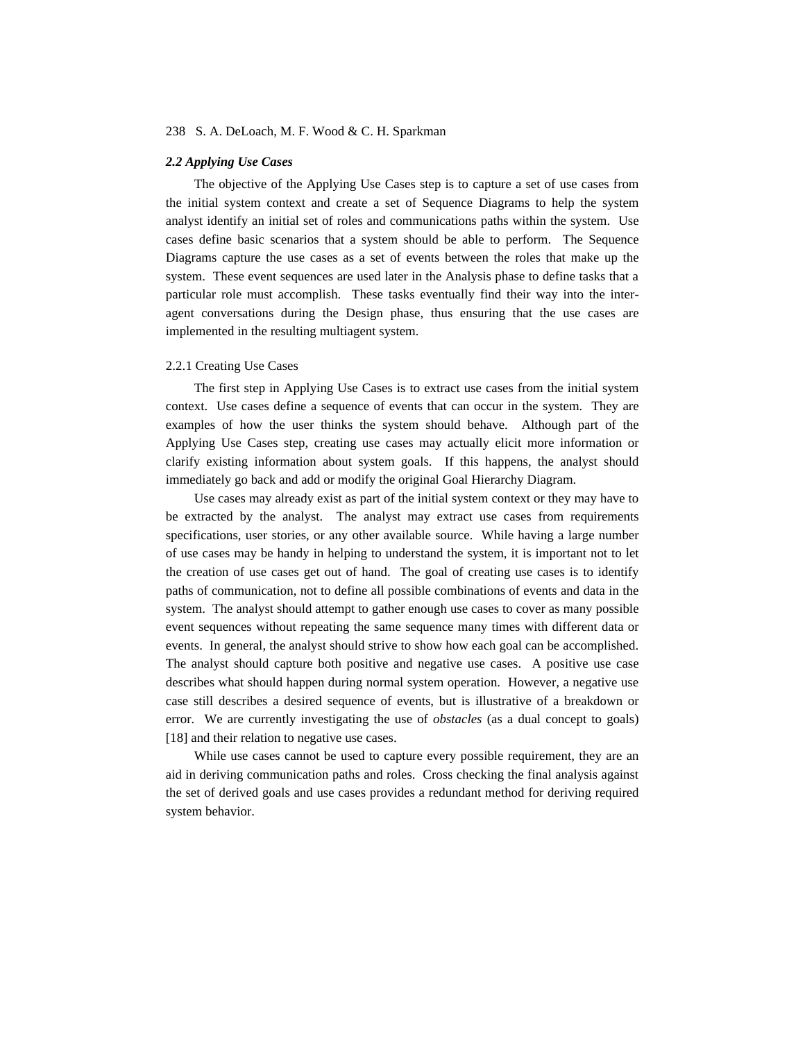### *2.2 Applying Use Cases*

The objective of the Applying Use Cases step is to capture a set of use cases from the initial system context and create a set of Sequence Diagrams to help the system analyst identify an initial set of roles and communications paths within the system. Use cases define basic scenarios that a system should be able to perform. The Sequence Diagrams capture the use cases as a set of events between the roles that make up the system. These event sequences are used later in the Analysis phase to define tasks that a particular role must accomplish. These tasks eventually find their way into the interagent conversations during the Design phase, thus ensuring that the use cases are implemented in the resulting multiagent system.

## 2.2.1 Creating Use Cases

The first step in Applying Use Cases is to extract use cases from the initial system context. Use cases define a sequence of events that can occur in the system. They are examples of how the user thinks the system should behave. Although part of the Applying Use Cases step, creating use cases may actually elicit more information or clarify existing information about system goals. If this happens, the analyst should immediately go back and add or modify the original Goal Hierarchy Diagram.

Use cases may already exist as part of the initial system context or they may have to be extracted by the analyst. The analyst may extract use cases from requirements specifications, user stories, or any other available source. While having a large number of use cases may be handy in helping to understand the system, it is important not to let the creation of use cases get out of hand. The goal of creating use cases is to identify paths of communication, not to define all possible combinations of events and data in the system. The analyst should attempt to gather enough use cases to cover as many possible event sequences without repeating the same sequence many times with different data or events. In general, the analyst should strive to show how each goal can be accomplished. The analyst should capture both positive and negative use cases. A positive use case describes what should happen during normal system operation. However, a negative use case still describes a desired sequence of events, but is illustrative of a breakdown or error. We are currently investigating the use of *obstacles* (as a dual concept to goals) [18] and their relation to negative use cases.

While use cases cannot be used to capture every possible requirement, they are an aid in deriving communication paths and roles. Cross checking the final analysis against the set of derived goals and use cases provides a redundant method for deriving required system behavior.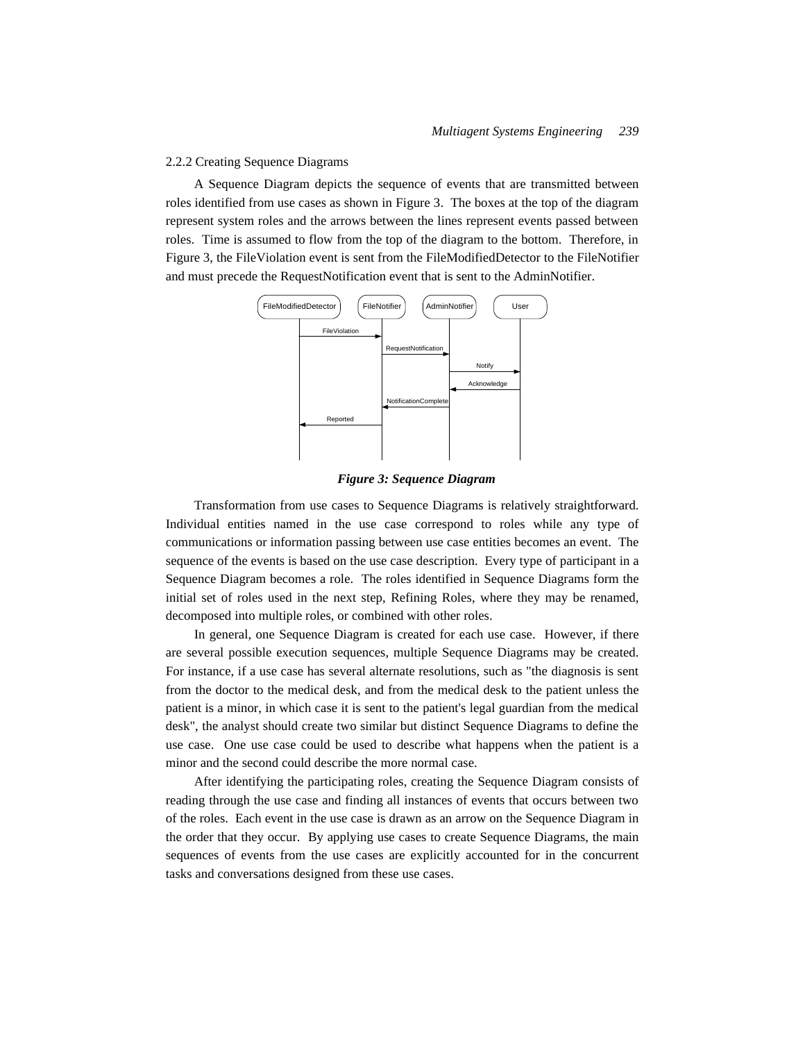### 2.2.2 Creating Sequence Diagrams

A Sequence Diagram depicts the sequence of events that are transmitted between roles identified from use cases as shown in Figure 3. The boxes at the top of the diagram represent system roles and the arrows between the lines represent events passed between roles. Time is assumed to flow from the top of the diagram to the bottom. Therefore, in Figure 3, the FileViolation event is sent from the FileModifiedDetector to the FileNotifier and must precede the RequestNotification event that is sent to the AdminNotifier.



*Figure 3: Sequence Diagram*

Transformation from use cases to Sequence Diagrams is relatively straightforward. Individual entities named in the use case correspond to roles while any type of communications or information passing between use case entities becomes an event. The sequence of the events is based on the use case description. Every type of participant in a Sequence Diagram becomes a role. The roles identified in Sequence Diagrams form the initial set of roles used in the next step, Refining Roles, where they may be renamed, decomposed into multiple roles, or combined with other roles.

In general, one Sequence Diagram is created for each use case. However, if there are several possible execution sequences, multiple Sequence Diagrams may be created. For instance, if a use case has several alternate resolutions, such as "the diagnosis is sent from the doctor to the medical desk, and from the medical desk to the patient unless the patient is a minor, in which case it is sent to the patient's legal guardian from the medical desk", the analyst should create two similar but distinct Sequence Diagrams to define the use case. One use case could be used to describe what happens when the patient is a minor and the second could describe the more normal case.

After identifying the participating roles, creating the Sequence Diagram consists of reading through the use case and finding all instances of events that occurs between two of the roles. Each event in the use case is drawn as an arrow on the Sequence Diagram in the order that they occur. By applying use cases to create Sequence Diagrams, the main sequences of events from the use cases are explicitly accounted for in the concurrent tasks and conversations designed from these use cases.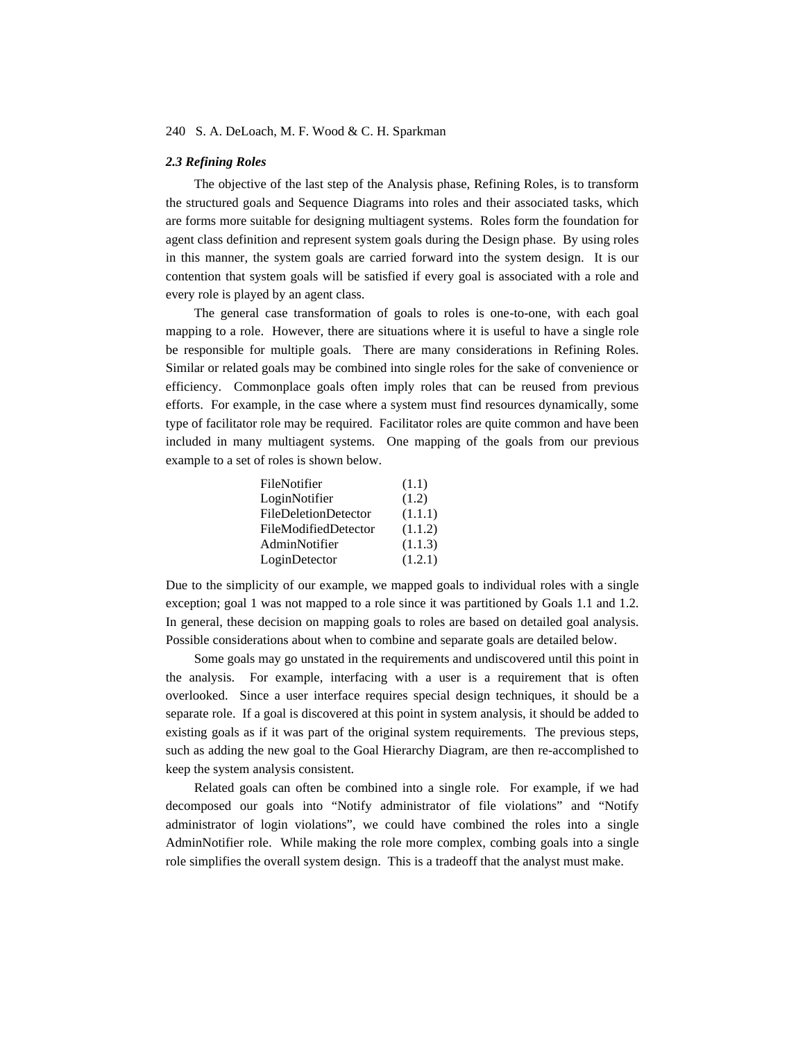#### *2.3 Refining Roles*

The objective of the last step of the Analysis phase, Refining Roles, is to transform the structured goals and Sequence Diagrams into roles and their associated tasks, which are forms more suitable for designing multiagent systems. Roles form the foundation for agent class definition and represent system goals during the Design phase. By using roles in this manner, the system goals are carried forward into the system design. It is our contention that system goals will be satisfied if every goal is associated with a role and every role is played by an agent class.

The general case transformation of goals to roles is one-to-one, with each goal mapping to a role. However, there are situations where it is useful to have a single role be responsible for multiple goals. There are many considerations in Refining Roles. Similar or related goals may be combined into single roles for the sake of convenience or efficiency. Commonplace goals often imply roles that can be reused from previous efforts. For example, in the case where a system must find resources dynamically, some type of facilitator role may be required. Facilitator roles are quite common and have been included in many multiagent systems. One mapping of the goals from our previous example to a set of roles is shown below.

| FileNotifier         | (1.1)   |
|----------------------|---------|
| LoginNotifier        | (1.2)   |
| FileDeletionDetector | (1.1.1) |
| FileModifiedDetector | (1.1.2) |
| AdminNotifier        | (1.1.3) |
| LoginDetector        | (1.2.1) |

Due to the simplicity of our example, we mapped goals to individual roles with a single exception; goal 1 was not mapped to a role since it was partitioned by Goals 1.1 and 1.2. In general, these decision on mapping goals to roles are based on detailed goal analysis. Possible considerations about when to combine and separate goals are detailed below.

Some goals may go unstated in the requirements and undiscovered until this point in the analysis. For example, interfacing with a user is a requirement that is often overlooked. Since a user interface requires special design techniques, it should be a separate role. If a goal is discovered at this point in system analysis, it should be added to existing goals as if it was part of the original system requirements. The previous steps, such as adding the new goal to the Goal Hierarchy Diagram, are then re-accomplished to keep the system analysis consistent.

Related goals can often be combined into a single role. For example, if we had decomposed our goals into "Notify administrator of file violations" and "Notify administrator of login violations", we could have combined the roles into a single AdminNotifier role. While making the role more complex, combing goals into a single role simplifies the overall system design. This is a tradeoff that the analyst must make.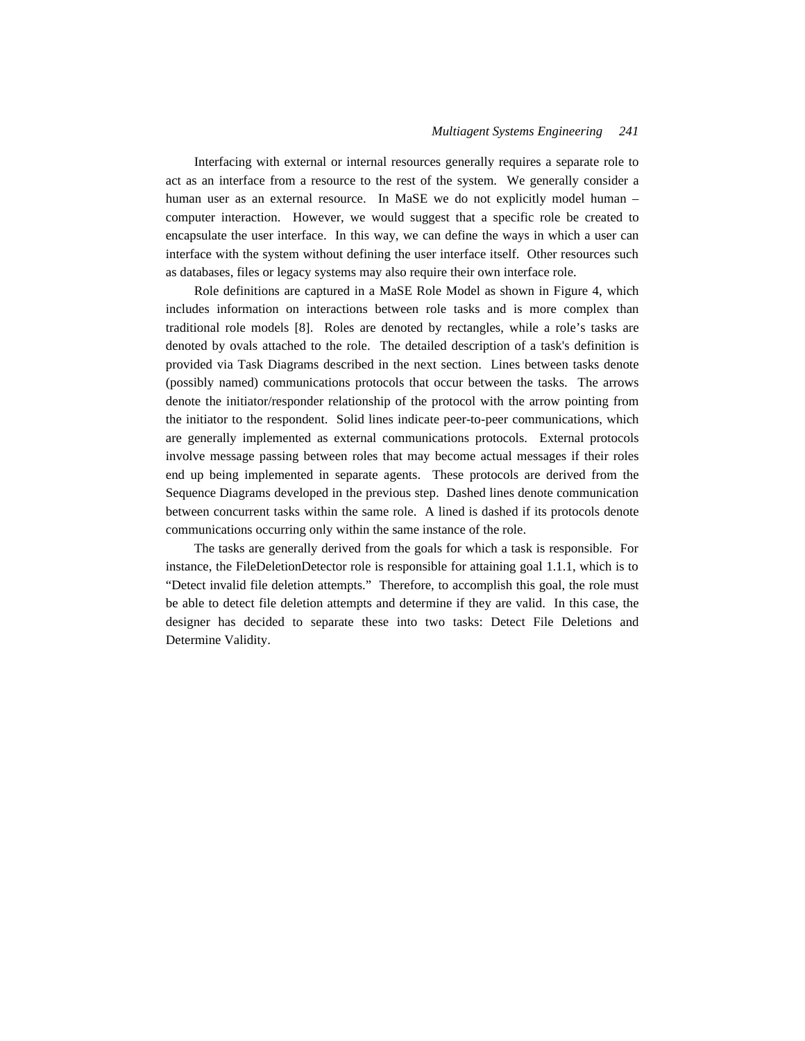## *Multiagent Systems Engineering 241*

Interfacing with external or internal resources generally requires a separate role to act as an interface from a resource to the rest of the system. We generally consider a human user as an external resource. In MaSE we do not explicitly model human – computer interaction. However, we would suggest that a specific role be created to encapsulate the user interface. In this way, we can define the ways in which a user can interface with the system without defining the user interface itself. Other resources such as databases, files or legacy systems may also require their own interface role.

Role definitions are captured in a MaSE Role Model as shown in Figure 4, which includes information on interactions between role tasks and is more complex than traditional role models [8]. Roles are denoted by rectangles, while a role's tasks are denoted by ovals attached to the role. The detailed description of a task's definition is provided via Task Diagrams described in the next section. Lines between tasks denote (possibly named) communications protocols that occur between the tasks. The arrows denote the initiator/responder relationship of the protocol with the arrow pointing from the initiator to the respondent. Solid lines indicate peer-to-peer communications, which are generally implemented as external communications protocols. External protocols involve message passing between roles that may become actual messages if their roles end up being implemented in separate agents. These protocols are derived from the Sequence Diagrams developed in the previous step. Dashed lines denote communication between concurrent tasks within the same role. A lined is dashed if its protocols denote communications occurring only within the same instance of the role.

The tasks are generally derived from the goals for which a task is responsible. For instance, the FileDeletionDetector role is responsible for attaining goal 1.1.1, which is to "Detect invalid file deletion attempts." Therefore, to accomplish this goal, the role must be able to detect file deletion attempts and determine if they are valid. In this case, the designer has decided to separate these into two tasks: Detect File Deletions and Determine Validity.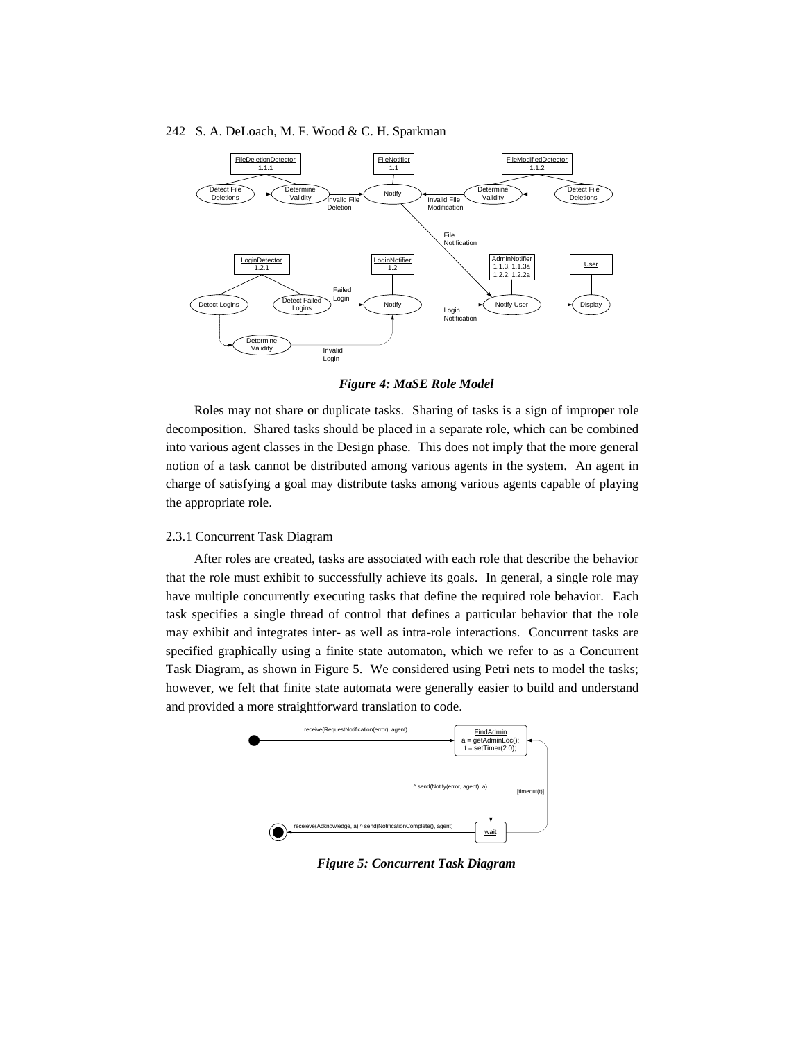

*Figure 4: MaSE Role Model*

Roles may not share or duplicate tasks. Sharing of tasks is a sign of improper role decomposition. Shared tasks should be placed in a separate role, which can be combined into various agent classes in the Design phase. This does not imply that the more general notion of a task cannot be distributed among various agents in the system. An agent in charge of satisfying a goal may distribute tasks among various agents capable of playing the appropriate role.

# 2.3.1 Concurrent Task Diagram

After roles are created, tasks are associated with each role that describe the behavior that the role must exhibit to successfully achieve its goals. In general, a single role may have multiple concurrently executing tasks that define the required role behavior. Each task specifies a single thread of control that defines a particular behavior that the role may exhibit and integrates inter- as well as intra-role interactions. Concurrent tasks are specified graphically using a finite state automaton, which we refer to as a Concurrent Task Diagram, as shown in Figure 5. We considered using Petri nets to model the tasks; however, we felt that finite state automata were generally easier to build and understand and provided a more straightforward translation to code.



*Figure 5: Concurrent Task Diagram*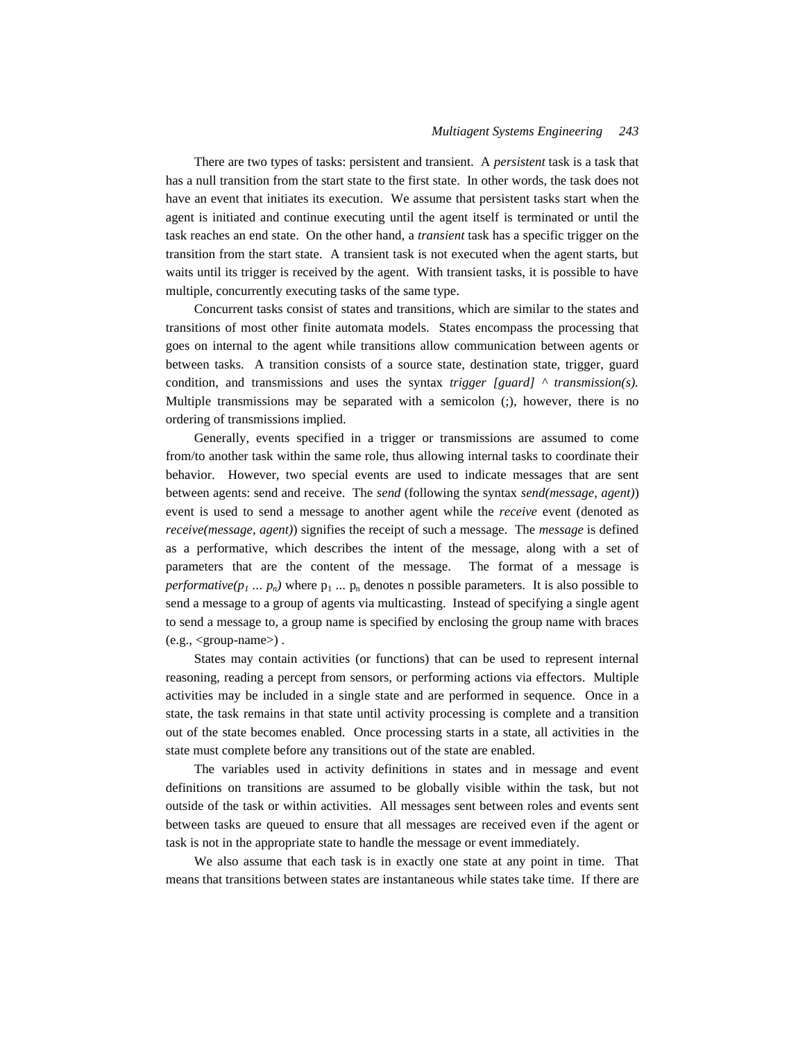## *Multiagent Systems Engineering 243*

There are two types of tasks: persistent and transient. A *persistent* task is a task that has a null transition from the start state to the first state. In other words, the task does not have an event that initiates its execution. We assume that persistent tasks start when the agent is initiated and continue executing until the agent itself is terminated or until the task reaches an end state. On the other hand, a *transient* task has a specific trigger on the transition from the start state. A transient task is not executed when the agent starts, but waits until its trigger is received by the agent. With transient tasks, it is possible to have multiple, concurrently executing tasks of the same type.

Concurrent tasks consist of states and transitions, which are similar to the states and transitions of most other finite automata models. States encompass the processing that goes on internal to the agent while transitions allow communication between agents or between tasks. A transition consists of a source state, destination state, trigger, guard condition, and transmissions and uses the syntax *trigger [guard] ^ transmission(s).* Multiple transmissions may be separated with a semicolon (;), however, there is no ordering of transmissions implied.

Generally, events specified in a trigger or transmissions are assumed to come from/to another task within the same role, thus allowing internal tasks to coordinate their behavior. However, two special events are used to indicate messages that are sent between agents: send and receive. The *send* (following the syntax *send(message, agent)*) event is used to send a message to another agent while the *receive* event (denoted as *receive(message, agent)*) signifies the receipt of such a message. The *message* is defined as a performative, which describes the intent of the message, along with a set of parameters that are the content of the message. The format of a message is *performative(* $p_1$  *...*  $p_n$ ) where  $p_1$  ...  $p_n$  denotes n possible parameters. It is also possible to send a message to a group of agents via multicasting. Instead of specifying a single agent to send a message to, a group name is specified by enclosing the group name with braces (e.g., <group-name>) .

States may contain activities (or functions) that can be used to represent internal reasoning, reading a percept from sensors, or performing actions via effectors. Multiple activities may be included in a single state and are performed in sequence. Once in a state, the task remains in that state until activity processing is complete and a transition out of the state becomes enabled. Once processing starts in a state, all activities in the state must complete before any transitions out of the state are enabled.

The variables used in activity definitions in states and in message and event definitions on transitions are assumed to be globally visible within the task, but not outside of the task or within activities. All messages sent between roles and events sent between tasks are queued to ensure that all messages are received even if the agent or task is not in the appropriate state to handle the message or event immediately.

We also assume that each task is in exactly one state at any point in time. That means that transitions between states are instantaneous while states take time. If there are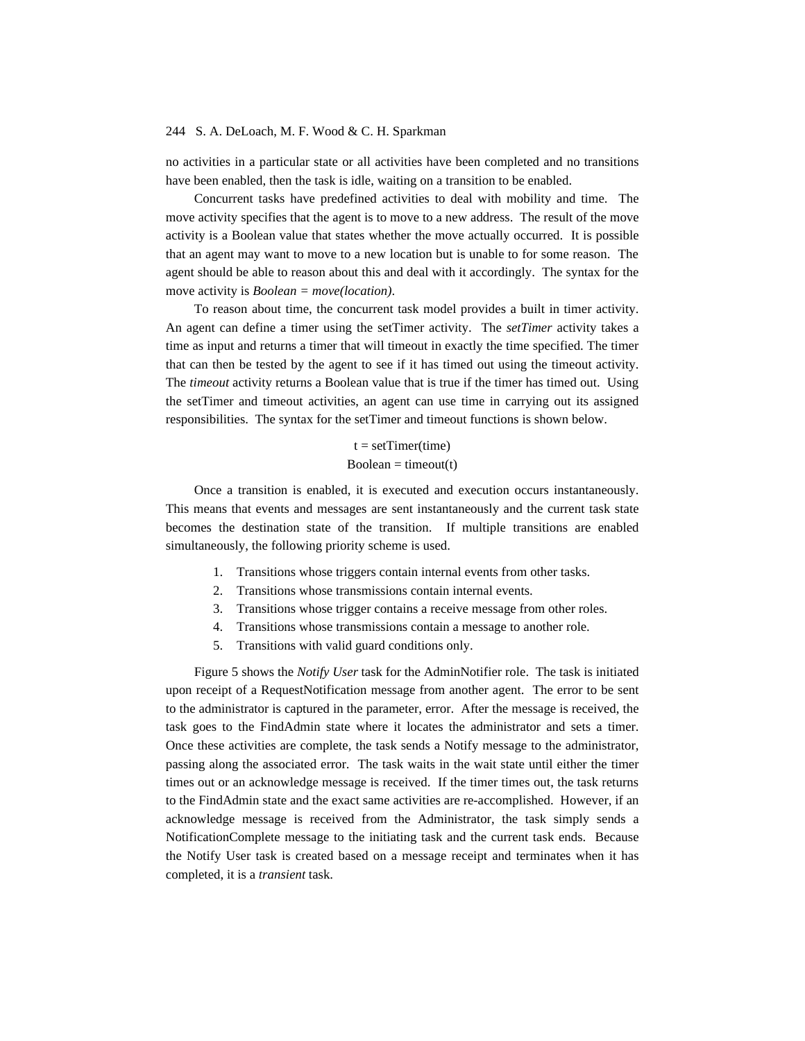no activities in a particular state or all activities have been completed and no transitions have been enabled, then the task is idle, waiting on a transition to be enabled.

Concurrent tasks have predefined activities to deal with mobility and time. The move activity specifies that the agent is to move to a new address. The result of the move activity is a Boolean value that states whether the move actually occurred. It is possible that an agent may want to move to a new location but is unable to for some reason. The agent should be able to reason about this and deal with it accordingly. The syntax for the move activity is *Boolean = move(location)*.

To reason about time, the concurrent task model provides a built in timer activity. An agent can define a timer using the setTimer activity. The *setTimer* activity takes a time as input and returns a timer that will timeout in exactly the time specified. The timer that can then be tested by the agent to see if it has timed out using the timeout activity. The *timeout* activity returns a Boolean value that is true if the timer has timed out. Using the setTimer and timeout activities, an agent can use time in carrying out its assigned responsibilities. The syntax for the setTimer and timeout functions is shown below.

> $t = setTimer(time)$  $Boolean = timeout(t)$

Once a transition is enabled, it is executed and execution occurs instantaneously. This means that events and messages are sent instantaneously and the current task state becomes the destination state of the transition. If multiple transitions are enabled simultaneously, the following priority scheme is used.

- 1. Transitions whose triggers contain internal events from other tasks.
- 2. Transitions whose transmissions contain internal events.
- 3. Transitions whose trigger contains a receive message from other roles.
- 4. Transitions whose transmissions contain a message to another role.
- 5. Transitions with valid guard conditions only.

Figure 5 shows the *Notify User* task for the AdminNotifier role. The task is initiated upon receipt of a RequestNotification message from another agent. The error to be sent to the administrator is captured in the parameter, error. After the message is received, the task goes to the FindAdmin state where it locates the administrator and sets a timer. Once these activities are complete, the task sends a Notify message to the administrator, passing along the associated error. The task waits in the wait state until either the timer times out or an acknowledge message is received. If the timer times out, the task returns to the FindAdmin state and the exact same activities are re-accomplished. However, if an acknowledge message is received from the Administrator, the task simply sends a NotificationComplete message to the initiating task and the current task ends. Because the Notify User task is created based on a message receipt and terminates when it has completed, it is a *transient* task.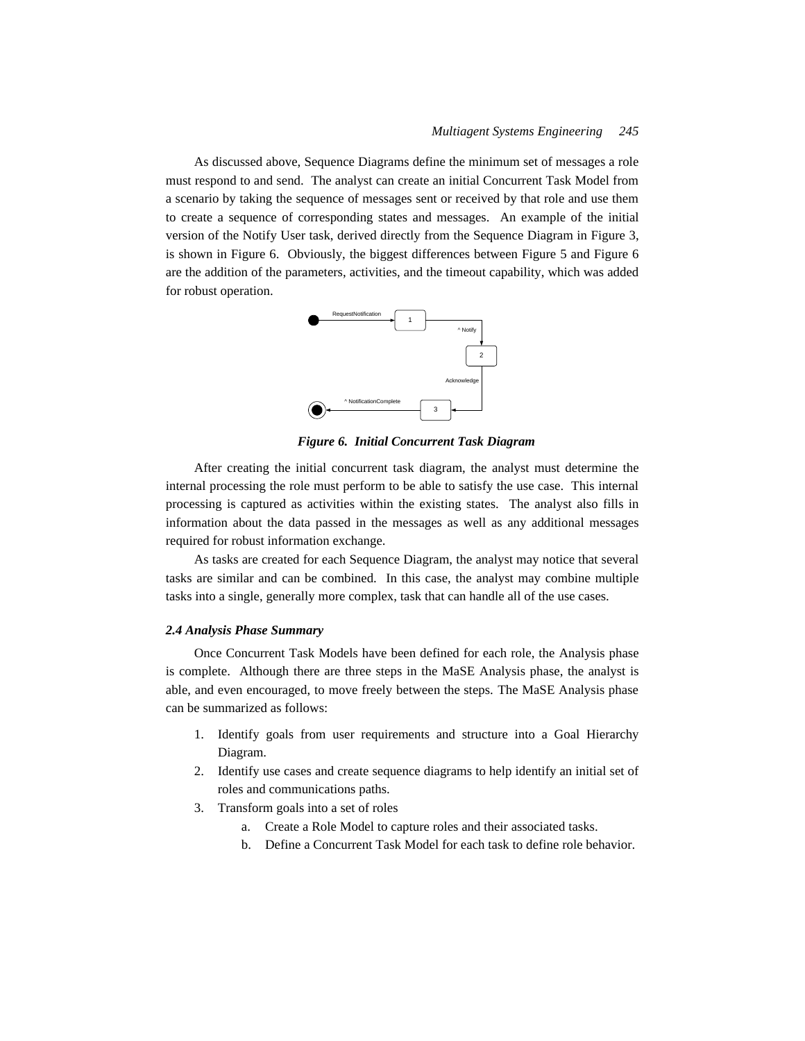As discussed above, Sequence Diagrams define the minimum set of messages a role must respond to and send. The analyst can create an initial Concurrent Task Model from a scenario by taking the sequence of messages sent or received by that role and use them to create a sequence of corresponding states and messages. An example of the initial version of the Notify User task, derived directly from the Sequence Diagram in Figure 3, is shown in Figure 6. Obviously, the biggest differences between Figure 5 and Figure 6 are the addition of the parameters, activities, and the timeout capability, which was added for robust operation.



*Figure 6. Initial Concurrent Task Diagram*

After creating the initial concurrent task diagram, the analyst must determine the internal processing the role must perform to be able to satisfy the use case. This internal processing is captured as activities within the existing states. The analyst also fills in information about the data passed in the messages as well as any additional messages required for robust information exchange.

As tasks are created for each Sequence Diagram, the analyst may notice that several tasks are similar and can be combined. In this case, the analyst may combine multiple tasks into a single, generally more complex, task that can handle all of the use cases.

# *2.4 Analysis Phase Summary*

Once Concurrent Task Models have been defined for each role, the Analysis phase is complete. Although there are three steps in the MaSE Analysis phase, the analyst is able, and even encouraged, to move freely between the steps. The MaSE Analysis phase can be summarized as follows:

- 1. Identify goals from user requirements and structure into a Goal Hierarchy Diagram.
- 2. Identify use cases and create sequence diagrams to help identify an initial set of roles and communications paths.
- 3. Transform goals into a set of roles
	- a. Create a Role Model to capture roles and their associated tasks.
	- b. Define a Concurrent Task Model for each task to define role behavior.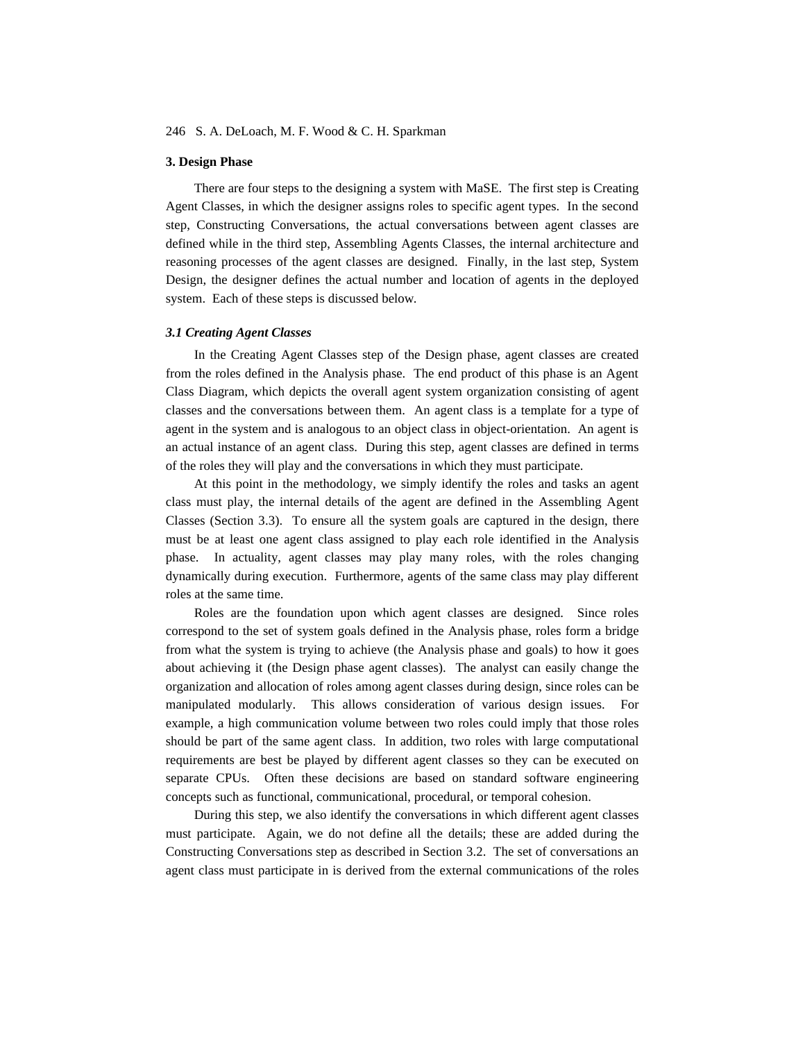### **3. Design Phase**

There are four steps to the designing a system with MaSE. The first step is Creating Agent Classes, in which the designer assigns roles to specific agent types. In the second step, Constructing Conversations, the actual conversations between agent classes are defined while in the third step, Assembling Agents Classes, the internal architecture and reasoning processes of the agent classes are designed. Finally, in the last step, System Design, the designer defines the actual number and location of agents in the deployed system. Each of these steps is discussed below.

# *3.1 Creating Agent Classes*

In the Creating Agent Classes step of the Design phase, agent classes are created from the roles defined in the Analysis phase. The end product of this phase is an Agent Class Diagram, which depicts the overall agent system organization consisting of agent classes and the conversations between them. An agent class is a template for a type of agent in the system and is analogous to an object class in object-orientation. An agent is an actual instance of an agent class. During this step, agent classes are defined in terms of the roles they will play and the conversations in which they must participate.

At this point in the methodology, we simply identify the roles and tasks an agent class must play, the internal details of the agent are defined in the Assembling Agent Classes (Section 3.3). To ensure all the system goals are captured in the design, there must be at least one agent class assigned to play each role identified in the Analysis phase. In actuality, agent classes may play many roles, with the roles changing dynamically during execution. Furthermore, agents of the same class may play different roles at the same time.

Roles are the foundation upon which agent classes are designed. Since roles correspond to the set of system goals defined in the Analysis phase, roles form a bridge from what the system is trying to achieve (the Analysis phase and goals) to how it goes about achieving it (the Design phase agent classes). The analyst can easily change the organization and allocation of roles among agent classes during design, since roles can be manipulated modularly. This allows consideration of various design issues. For example, a high communication volume between two roles could imply that those roles should be part of the same agent class. In addition, two roles with large computational requirements are best be played by different agent classes so they can be executed on separate CPUs. Often these decisions are based on standard software engineering concepts such as functional, communicational, procedural, or temporal cohesion.

During this step, we also identify the conversations in which different agent classes must participate. Again, we do not define all the details; these are added during the Constructing Conversations step as described in Section 3.2. The set of conversations an agent class must participate in is derived from the external communications of the roles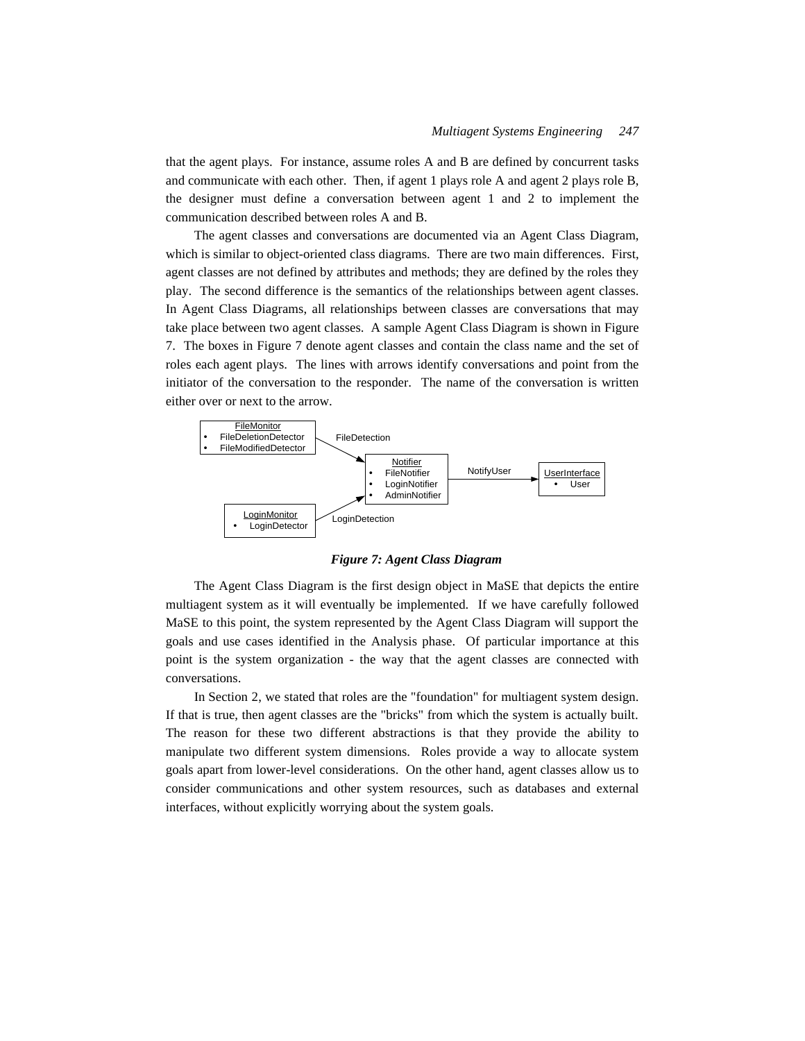that the agent plays. For instance, assume roles A and B are defined by concurrent tasks and communicate with each other. Then, if agent 1 plays role A and agent 2 plays role B, the designer must define a conversation between agent 1 and 2 to implement the communication described between roles A and B.

The agent classes and conversations are documented via an Agent Class Diagram, which is similar to object-oriented class diagrams. There are two main differences. First, agent classes are not defined by attributes and methods; they are defined by the roles they play. The second difference is the semantics of the relationships between agent classes. In Agent Class Diagrams, all relationships between classes are conversations that may take place between two agent classes. A sample Agent Class Diagram is shown in Figure 7. The boxes in Figure 7 denote agent classes and contain the class name and the set of roles each agent plays. The lines with arrows identify conversations and point from the initiator of the conversation to the responder. The name of the conversation is written either over or next to the arrow.



*Figure 7: Agent Class Diagram*

The Agent Class Diagram is the first design object in MaSE that depicts the entire multiagent system as it will eventually be implemented. If we have carefully followed MaSE to this point, the system represented by the Agent Class Diagram will support the goals and use cases identified in the Analysis phase. Of particular importance at this point is the system organization - the way that the agent classes are connected with conversations.

In Section 2, we stated that roles are the "foundation" for multiagent system design. If that is true, then agent classes are the "bricks" from which the system is actually built. The reason for these two different abstractions is that they provide the ability to manipulate two different system dimensions. Roles provide a way to allocate system goals apart from lower-level considerations. On the other hand, agent classes allow us to consider communications and other system resources, such as databases and external interfaces, without explicitly worrying about the system goals.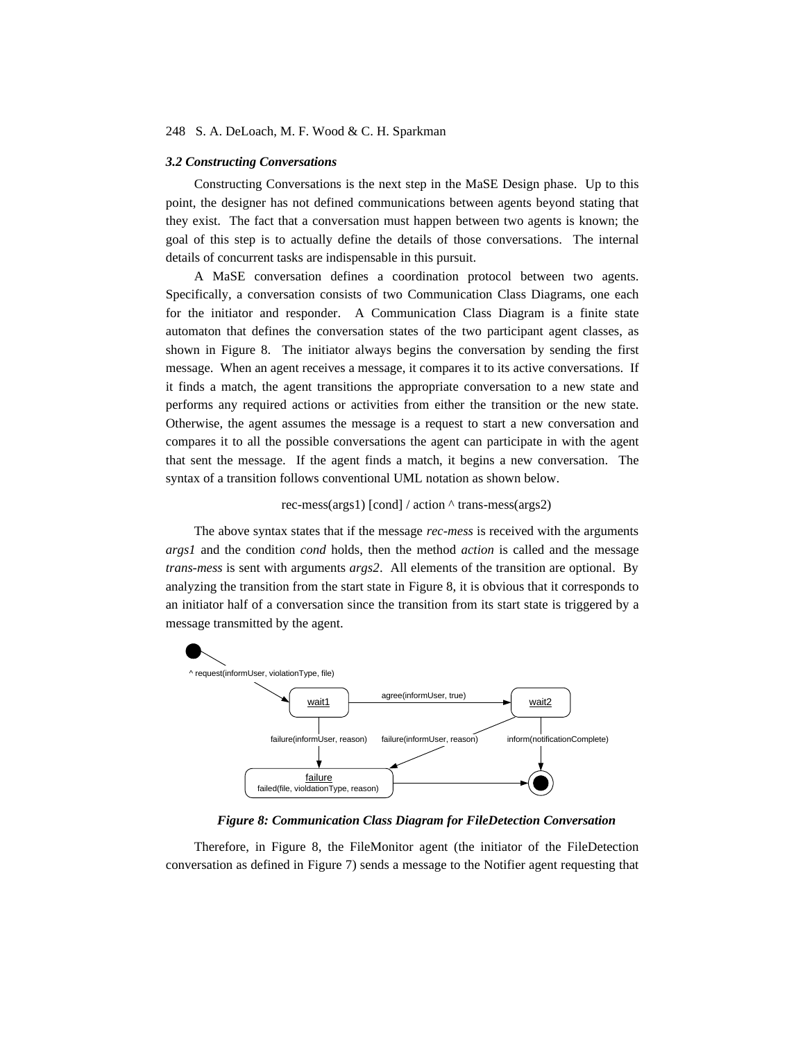#### *3.2 Constructing Conversations*

Constructing Conversations is the next step in the MaSE Design phase. Up to this point, the designer has not defined communications between agents beyond stating that they exist. The fact that a conversation must happen between two agents is known; the goal of this step is to actually define the details of those conversations. The internal details of concurrent tasks are indispensable in this pursuit.

A MaSE conversation defines a coordination protocol between two agents. Specifically, a conversation consists of two Communication Class Diagrams, one each for the initiator and responder. A Communication Class Diagram is a finite state automaton that defines the conversation states of the two participant agent classes, as shown in Figure 8. The initiator always begins the conversation by sending the first message. When an agent receives a message, it compares it to its active conversations. If it finds a match, the agent transitions the appropriate conversation to a new state and performs any required actions or activities from either the transition or the new state. Otherwise, the agent assumes the message is a request to start a new conversation and compares it to all the possible conversations the agent can participate in with the agent that sent the message. If the agent finds a match, it begins a new conversation. The syntax of a transition follows conventional UML notation as shown below.

## rec-mess(args1) [cond] / action ^ trans-mess(args2)

The above syntax states that if the message *rec-mess* is received with the arguments *args1* and the condition *cond* holds, then the method *action* is called and the message *trans-mess* is sent with arguments *args2*. All elements of the transition are optional. By analyzing the transition from the start state in Figure 8, it is obvious that it corresponds to an initiator half of a conversation since the transition from its start state is triggered by a message transmitted by the agent.



*Figure 8: Communication Class Diagram for FileDetection Conversation*

Therefore, in Figure 8, the FileMonitor agent (the initiator of the FileDetection conversation as defined in Figure 7) sends a message to the Notifier agent requesting that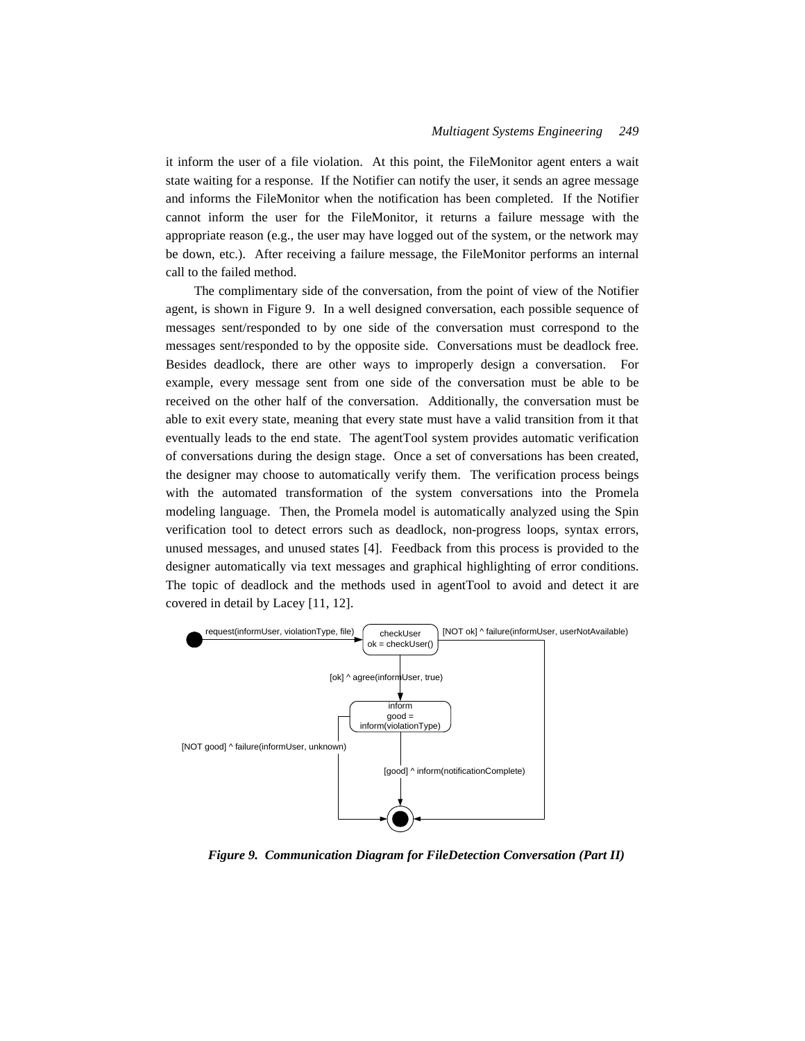## *Multiagent Systems Engineering 249*

it inform the user of a file violation. At this point, the FileMonitor agent enters a wait state waiting for a response. If the Notifier can notify the user, it sends an agree message and informs the FileMonitor when the notification has been completed. If the Notifier cannot inform the user for the FileMonitor, it returns a failure message with the appropriate reason (e.g., the user may have logged out of the system, or the network may be down, etc.). After receiving a failure message, the FileMonitor performs an internal call to the failed method.

The complimentary side of the conversation, from the point of view of the Notifier agent, is shown in Figure 9. In a well designed conversation, each possible sequence of messages sent/responded to by one side of the conversation must correspond to the messages sent/responded to by the opposite side. Conversations must be deadlock free. Besides deadlock, there are other ways to improperly design a conversation. For example, every message sent from one side of the conversation must be able to be received on the other half of the conversation. Additionally, the conversation must be able to exit every state, meaning that every state must have a valid transition from it that eventually leads to the end state. The agentTool system provides automatic verification of conversations during the design stage. Once a set of conversations has been created, the designer may choose to automatically verify them. The verification process beings with the automated transformation of the system conversations into the Promela modeling language. Then, the Promela model is automatically analyzed using the Spin verification tool to detect errors such as deadlock, non-progress loops, syntax errors, unused messages, and unused states [4]. Feedback from this process is provided to the designer automatically via text messages and graphical highlighting of error conditions. The topic of deadlock and the methods used in agentTool to avoid and detect it are covered in detail by Lacey [11, 12].



*Figure 9. Communication Diagram for FileDetection Conversation (Part II)*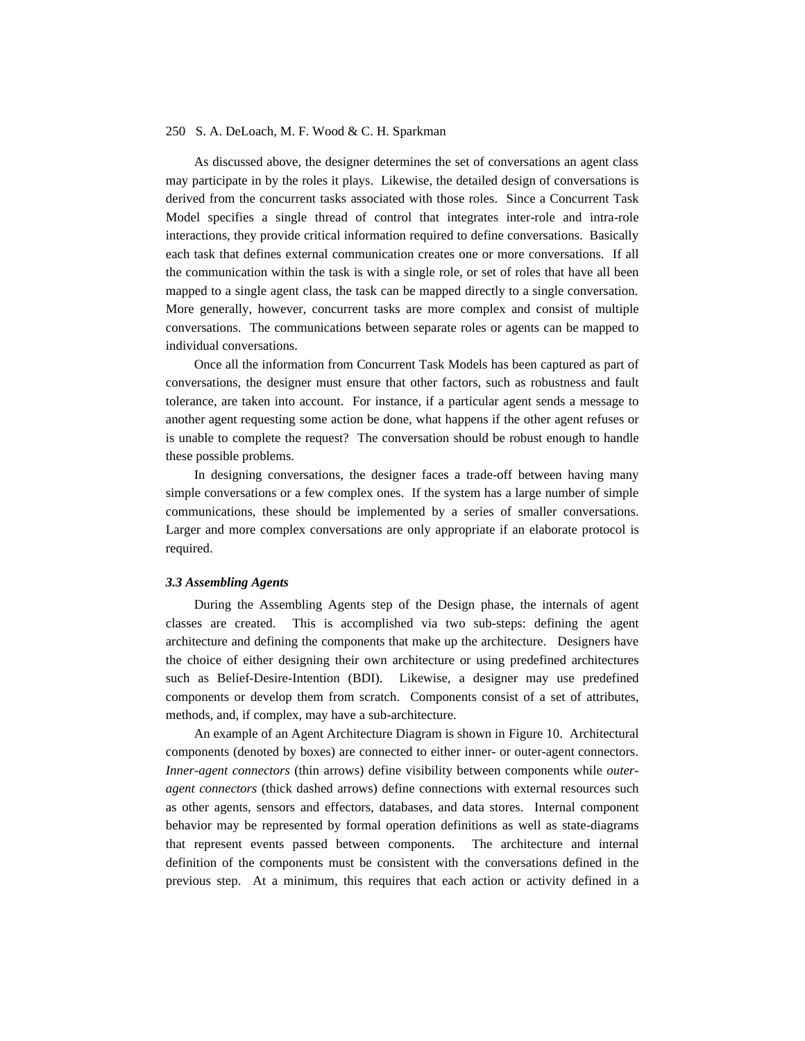As discussed above, the designer determines the set of conversations an agent class may participate in by the roles it plays. Likewise, the detailed design of conversations is derived from the concurrent tasks associated with those roles. Since a Concurrent Task Model specifies a single thread of control that integrates inter-role and intra-role interactions, they provide critical information required to define conversations. Basically each task that defines external communication creates one or more conversations. If all the communication within the task is with a single role, or set of roles that have all been mapped to a single agent class, the task can be mapped directly to a single conversation. More generally, however, concurrent tasks are more complex and consist of multiple conversations. The communications between separate roles or agents can be mapped to individual conversations.

Once all the information from Concurrent Task Models has been captured as part of conversations, the designer must ensure that other factors, such as robustness and fault tolerance, are taken into account. For instance, if a particular agent sends a message to another agent requesting some action be done, what happens if the other agent refuses or is unable to complete the request? The conversation should be robust enough to handle these possible problems.

In designing conversations, the designer faces a trade-off between having many simple conversations or a few complex ones. If the system has a large number of simple communications, these should be implemented by a series of smaller conversations. Larger and more complex conversations are only appropriate if an elaborate protocol is required.

### *3.3 Assembling Agents*

During the Assembling Agents step of the Design phase, the internals of agent classes are created. This is accomplished via two sub-steps: defining the agent architecture and defining the components that make up the architecture. Designers have the choice of either designing their own architecture or using predefined architectures such as Belief-Desire-Intention (BDI). Likewise, a designer may use predefined components or develop them from scratch. Components consist of a set of attributes, methods, and, if complex, may have a sub-architecture.

An example of an Agent Architecture Diagram is shown in Figure 10. Architectural components (denoted by boxes) are connected to either inner- or outer-agent connectors. *Inner-agent connectors* (thin arrows) define visibility between components while *outeragent connectors* (thick dashed arrows) define connections with external resources such as other agents, sensors and effectors, databases, and data stores. Internal component behavior may be represented by formal operation definitions as well as state-diagrams that represent events passed between components. The architecture and internal definition of the components must be consistent with the conversations defined in the previous step. At a minimum, this requires that each action or activity defined in a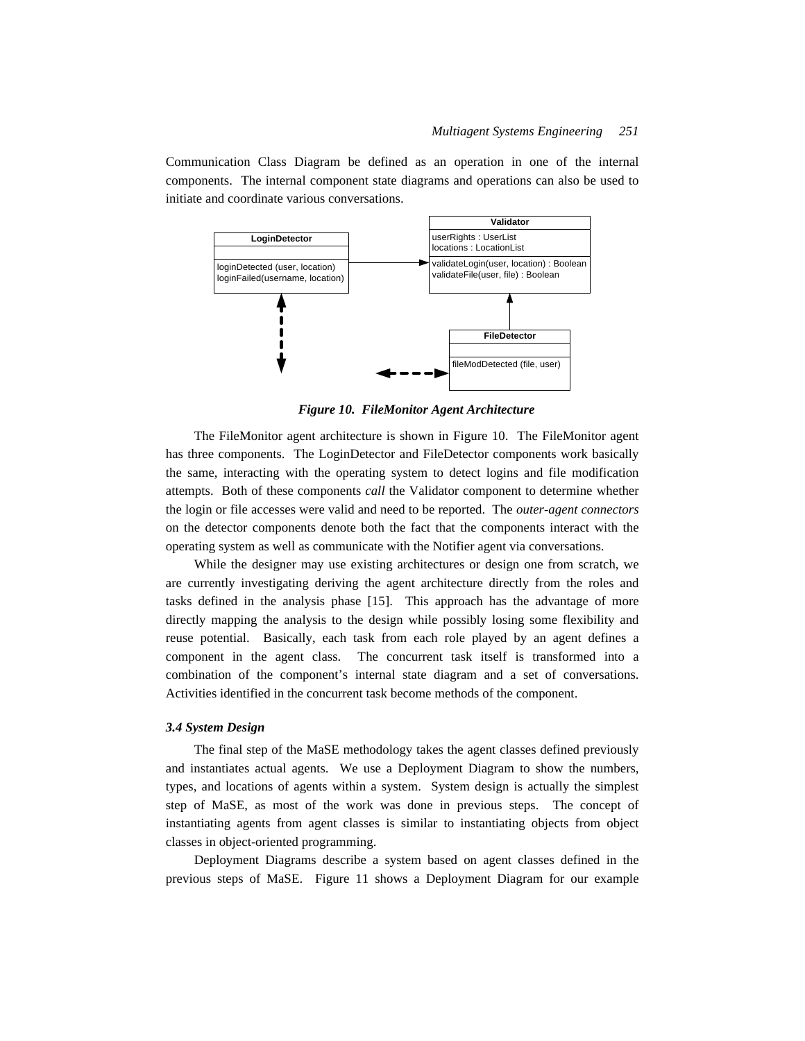Communication Class Diagram be defined as an operation in one of the internal components. The internal component state diagrams and operations can also be used to initiate and coordinate various conversations.



*Figure 10. FileMonitor Agent Architecture*

The FileMonitor agent architecture is shown in Figure 10. The FileMonitor agent has three components. The LoginDetector and FileDetector components work basically the same, interacting with the operating system to detect logins and file modification attempts. Both of these components *call* the Validator component to determine whether the login or file accesses were valid and need to be reported. The *outer-agent connectors* on the detector components denote both the fact that the components interact with the operating system as well as communicate with the Notifier agent via conversations.

While the designer may use existing architectures or design one from scratch, we are currently investigating deriving the agent architecture directly from the roles and tasks defined in the analysis phase [15]. This approach has the advantage of more directly mapping the analysis to the design while possibly losing some flexibility and reuse potential. Basically, each task from each role played by an agent defines a component in the agent class. The concurrent task itself is transformed into a combination of the component's internal state diagram and a set of conversations. Activities identified in the concurrent task become methods of the component.

### *3.4 System Design*

The final step of the MaSE methodology takes the agent classes defined previously and instantiates actual agents. We use a Deployment Diagram to show the numbers, types, and locations of agents within a system. System design is actually the simplest step of MaSE, as most of the work was done in previous steps. The concept of instantiating agents from agent classes is similar to instantiating objects from object classes in object-oriented programming.

Deployment Diagrams describe a system based on agent classes defined in the previous steps of MaSE. Figure 11 shows a Deployment Diagram for our example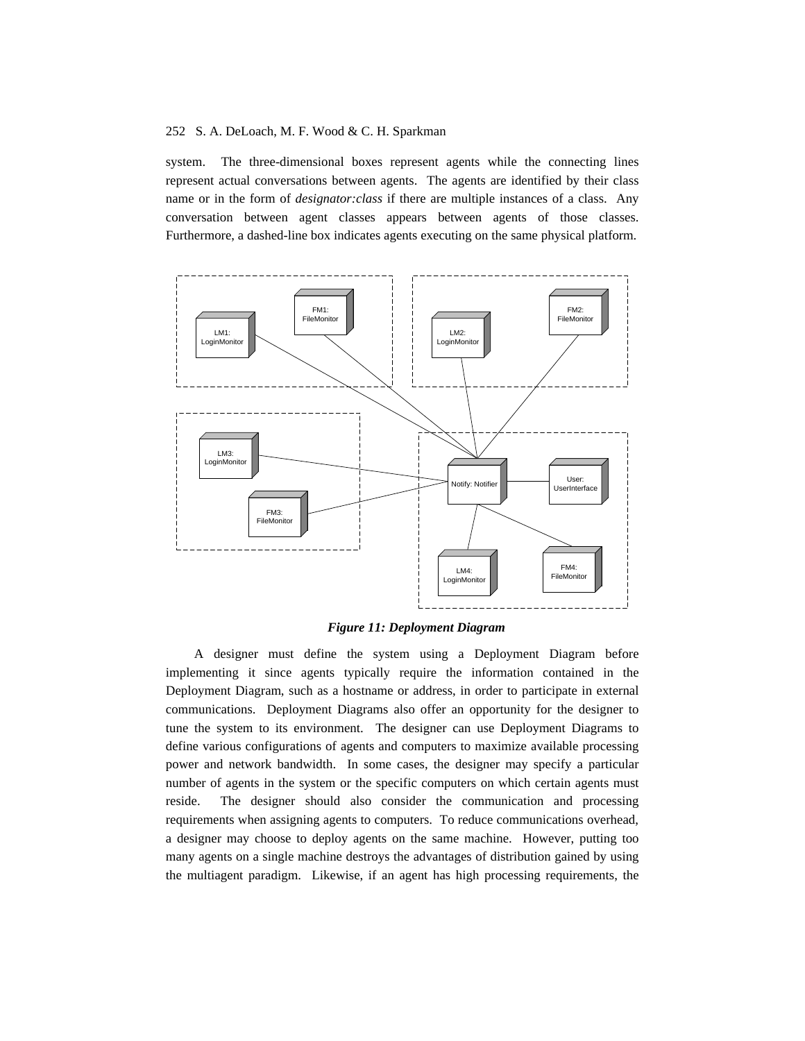system. The three-dimensional boxes represent agents while the connecting lines represent actual conversations between agents. The agents are identified by their class name or in the form of *designator:class* if there are multiple instances of a class. Any conversation between agent classes appears between agents of those classes. Furthermore, a dashed-line box indicates agents executing on the same physical platform.



*Figure 11: Deployment Diagram*

A designer must define the system using a Deployment Diagram before implementing it since agents typically require the information contained in the Deployment Diagram, such as a hostname or address, in order to participate in external communications. Deployment Diagrams also offer an opportunity for the designer to tune the system to its environment. The designer can use Deployment Diagrams to define various configurations of agents and computers to maximize available processing power and network bandwidth. In some cases, the designer may specify a particular number of agents in the system or the specific computers on which certain agents must reside. The designer should also consider the communication and processing requirements when assigning agents to computers. To reduce communications overhead, a designer may choose to deploy agents on the same machine. However, putting too many agents on a single machine destroys the advantages of distribution gained by using the multiagent paradigm. Likewise, if an agent has high processing requirements, the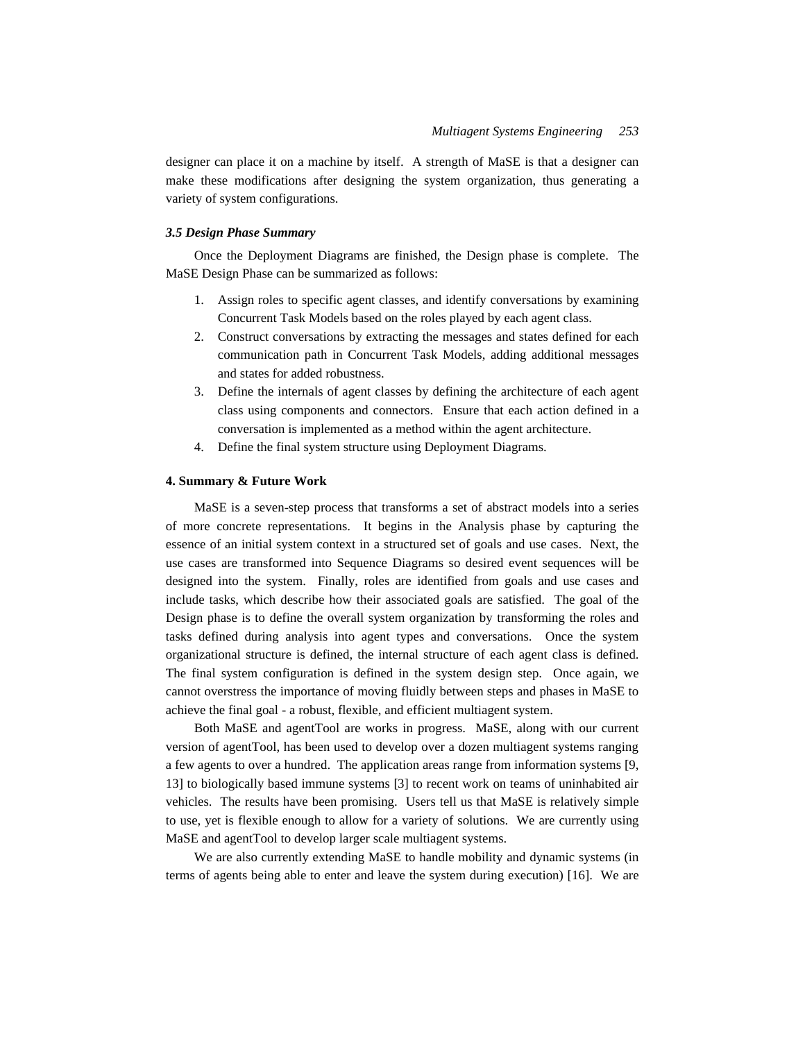designer can place it on a machine by itself. A strength of MaSE is that a designer can make these modifications after designing the system organization, thus generating a variety of system configurations.

# *3.5 Design Phase Summary*

Once the Deployment Diagrams are finished, the Design phase is complete. The MaSE Design Phase can be summarized as follows:

- 1. Assign roles to specific agent classes, and identify conversations by examining Concurrent Task Models based on the roles played by each agent class.
- 2. Construct conversations by extracting the messages and states defined for each communication path in Concurrent Task Models, adding additional messages and states for added robustness.
- 3. Define the internals of agent classes by defining the architecture of each agent class using components and connectors. Ensure that each action defined in a conversation is implemented as a method within the agent architecture.
- 4. Define the final system structure using Deployment Diagrams.

### **4. Summary & Future Work**

MaSE is a seven-step process that transforms a set of abstract models into a series of more concrete representations. It begins in the Analysis phase by capturing the essence of an initial system context in a structured set of goals and use cases. Next, the use cases are transformed into Sequence Diagrams so desired event sequences will be designed into the system. Finally, roles are identified from goals and use cases and include tasks, which describe how their associated goals are satisfied. The goal of the Design phase is to define the overall system organization by transforming the roles and tasks defined during analysis into agent types and conversations. Once the system organizational structure is defined, the internal structure of each agent class is defined. The final system configuration is defined in the system design step. Once again, we cannot overstress the importance of moving fluidly between steps and phases in MaSE to achieve the final goal - a robust, flexible, and efficient multiagent system.

Both MaSE and agentTool are works in progress. MaSE, along with our current version of agentTool, has been used to develop over a dozen multiagent systems ranging a few agents to over a hundred. The application areas range from information systems [9, 13] to biologically based immune systems [3] to recent work on teams of uninhabited air vehicles. The results have been promising. Users tell us that MaSE is relatively simple to use, yet is flexible enough to allow for a variety of solutions. We are currently using MaSE and agentTool to develop larger scale multiagent systems.

We are also currently extending MaSE to handle mobility and dynamic systems (in terms of agents being able to enter and leave the system during execution) [16]. We are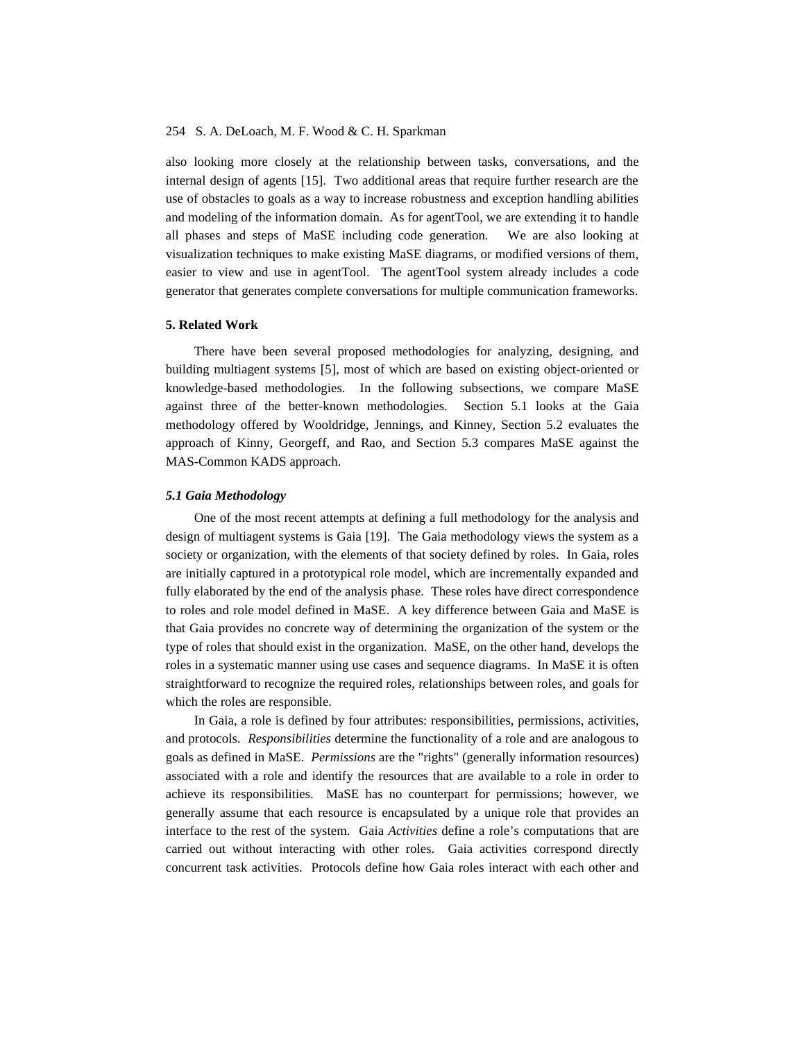also looking more closely at the relationship between tasks, conversations, and the internal design of agents [15]. Two additional areas that require further research are the use of obstacles to goals as a way to increase robustness and exception handling abilities and modeling of the information domain. As for agentTool, we are extending it to handle all phases and steps of MaSE including code generation. We are also looking at visualization techniques to make existing MaSE diagrams, or modified versions of them, easier to view and use in agentTool. The agentTool system already includes a code generator that generates complete conversations for multiple communication frameworks.

## **5. Related Work**

There have been several proposed methodologies for analyzing, designing, and building multiagent systems [5], most of which are based on existing object-oriented or knowledge-based methodologies. In the following subsections, we compare MaSE against three of the better-known methodologies. Section 5.1 looks at the Gaia methodology offered by Wooldridge, Jennings, and Kinney, Section 5.2 evaluates the approach of Kinny, Georgeff, and Rao, and Section 5.3 compares MaSE against the MAS-Common KADS approach.

### *5.1 Gaia Methodology*

One of the most recent attempts at defining a full methodology for the analysis and design of multiagent systems is Gaia [19]. The Gaia methodology views the system as a society or organization, with the elements of that society defined by roles. In Gaia, roles are initially captured in a prototypical role model, which are incrementally expanded and fully elaborated by the end of the analysis phase. These roles have direct correspondence to roles and role model defined in MaSE. A key difference between Gaia and MaSE is that Gaia provides no concrete way of determining the organization of the system or the type of roles that should exist in the organization. MaSE, on the other hand, develops the roles in a systematic manner using use cases and sequence diagrams. In MaSE it is often straightforward to recognize the required roles, relationships between roles, and goals for which the roles are responsible.

In Gaia, a role is defined by four attributes: responsibilities, permissions, activities, and protocols. *Responsibilities* determine the functionality of a role and are analogous to goals as defined in MaSE. *Permissions* are the "rights" (generally information resources) associated with a role and identify the resources that are available to a role in order to achieve its responsibilities. MaSE has no counterpart for permissions; however, we generally assume that each resource is encapsulated by a unique role that provides an interface to the rest of the system. Gaia *Activities* define a role's computations that are carried out without interacting with other roles. Gaia activities correspond directly concurrent task activities. Protocols define how Gaia roles interact with each other and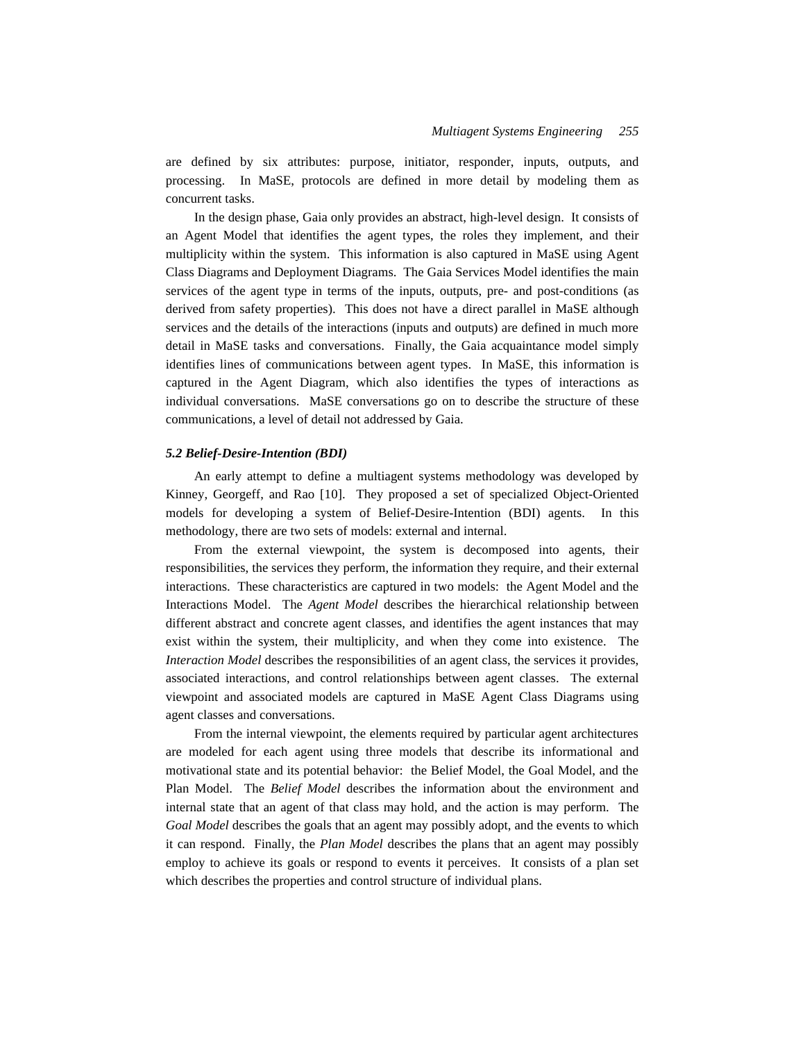are defined by six attributes: purpose, initiator, responder, inputs, outputs, and processing. In MaSE, protocols are defined in more detail by modeling them as concurrent tasks.

In the design phase, Gaia only provides an abstract, high-level design. It consists of an Agent Model that identifies the agent types, the roles they implement, and their multiplicity within the system. This information is also captured in MaSE using Agent Class Diagrams and Deployment Diagrams. The Gaia Services Model identifies the main services of the agent type in terms of the inputs, outputs, pre- and post-conditions (as derived from safety properties). This does not have a direct parallel in MaSE although services and the details of the interactions (inputs and outputs) are defined in much more detail in MaSE tasks and conversations. Finally, the Gaia acquaintance model simply identifies lines of communications between agent types. In MaSE, this information is captured in the Agent Diagram, which also identifies the types of interactions as individual conversations. MaSE conversations go on to describe the structure of these communications, a level of detail not addressed by Gaia.

# *5.2 Belief-Desire-Intention (BDI)*

An early attempt to define a multiagent systems methodology was developed by Kinney, Georgeff, and Rao [10]. They proposed a set of specialized Object-Oriented models for developing a system of Belief-Desire-Intention (BDI) agents. In this methodology, there are two sets of models: external and internal.

From the external viewpoint, the system is decomposed into agents, their responsibilities, the services they perform, the information they require, and their external interactions. These characteristics are captured in two models: the Agent Model and the Interactions Model. The *Agent Model* describes the hierarchical relationship between different abstract and concrete agent classes, and identifies the agent instances that may exist within the system, their multiplicity, and when they come into existence. The *Interaction Model* describes the responsibilities of an agent class, the services it provides, associated interactions, and control relationships between agent classes. The external viewpoint and associated models are captured in MaSE Agent Class Diagrams using agent classes and conversations.

From the internal viewpoint, the elements required by particular agent architectures are modeled for each agent using three models that describe its informational and motivational state and its potential behavior: the Belief Model, the Goal Model, and the Plan Model. The *Belief Model* describes the information about the environment and internal state that an agent of that class may hold, and the action is may perform. The *Goal Model* describes the goals that an agent may possibly adopt, and the events to which it can respond. Finally, the *Plan Model* describes the plans that an agent may possibly employ to achieve its goals or respond to events it perceives. It consists of a plan set which describes the properties and control structure of individual plans.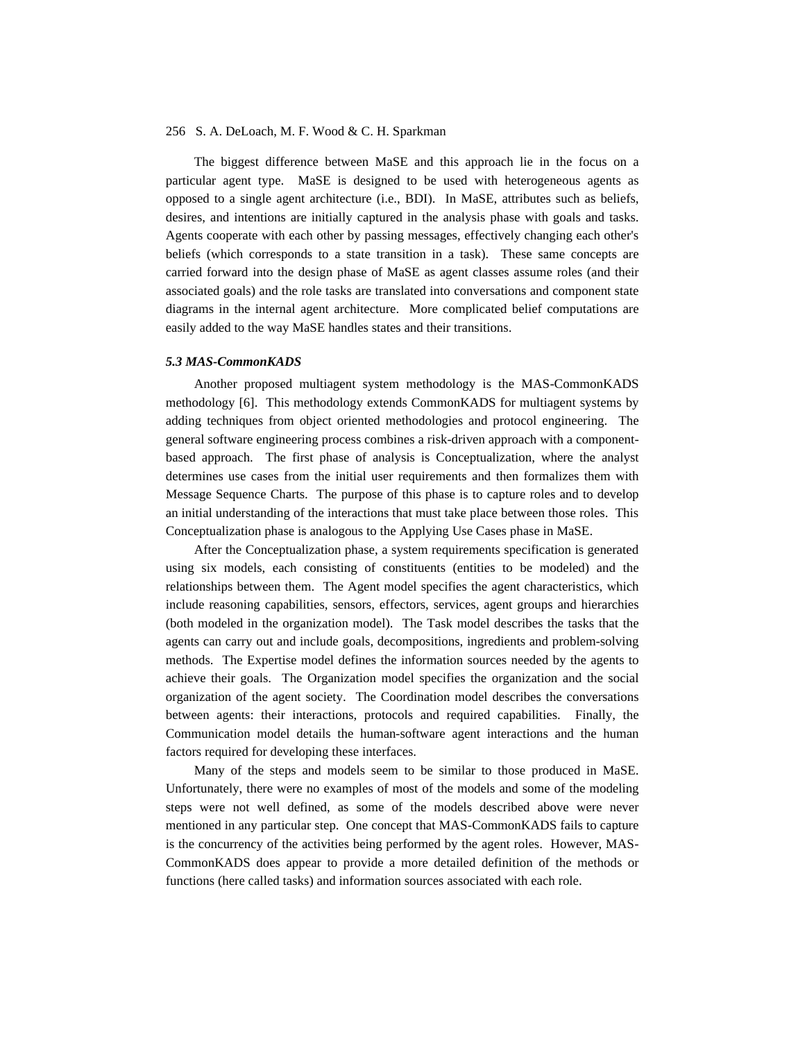The biggest difference between MaSE and this approach lie in the focus on a particular agent type. MaSE is designed to be used with heterogeneous agents as opposed to a single agent architecture (i.e., BDI). In MaSE, attributes such as beliefs, desires, and intentions are initially captured in the analysis phase with goals and tasks. Agents cooperate with each other by passing messages, effectively changing each other's beliefs (which corresponds to a state transition in a task). These same concepts are carried forward into the design phase of MaSE as agent classes assume roles (and their associated goals) and the role tasks are translated into conversations and component state diagrams in the internal agent architecture. More complicated belief computations are easily added to the way MaSE handles states and their transitions.

## *5.3 MAS-CommonKADS*

Another proposed multiagent system methodology is the MAS-CommonKADS methodology [6]. This methodology extends CommonKADS for multiagent systems by adding techniques from object oriented methodologies and protocol engineering. The general software engineering process combines a risk-driven approach with a componentbased approach. The first phase of analysis is Conceptualization, where the analyst determines use cases from the initial user requirements and then formalizes them with Message Sequence Charts. The purpose of this phase is to capture roles and to develop an initial understanding of the interactions that must take place between those roles. This Conceptualization phase is analogous to the Applying Use Cases phase in MaSE.

After the Conceptualization phase, a system requirements specification is generated using six models, each consisting of constituents (entities to be modeled) and the relationships between them. The Agent model specifies the agent characteristics, which include reasoning capabilities, sensors, effectors, services, agent groups and hierarchies (both modeled in the organization model). The Task model describes the tasks that the agents can carry out and include goals, decompositions, ingredients and problem-solving methods. The Expertise model defines the information sources needed by the agents to achieve their goals. The Organization model specifies the organization and the social organization of the agent society. The Coordination model describes the conversations between agents: their interactions, protocols and required capabilities. Finally, the Communication model details the human-software agent interactions and the human factors required for developing these interfaces.

Many of the steps and models seem to be similar to those produced in MaSE. Unfortunately, there were no examples of most of the models and some of the modeling steps were not well defined, as some of the models described above were never mentioned in any particular step. One concept that MAS-CommonKADS fails to capture is the concurrency of the activities being performed by the agent roles. However, MAS-CommonKADS does appear to provide a more detailed definition of the methods or functions (here called tasks) and information sources associated with each role.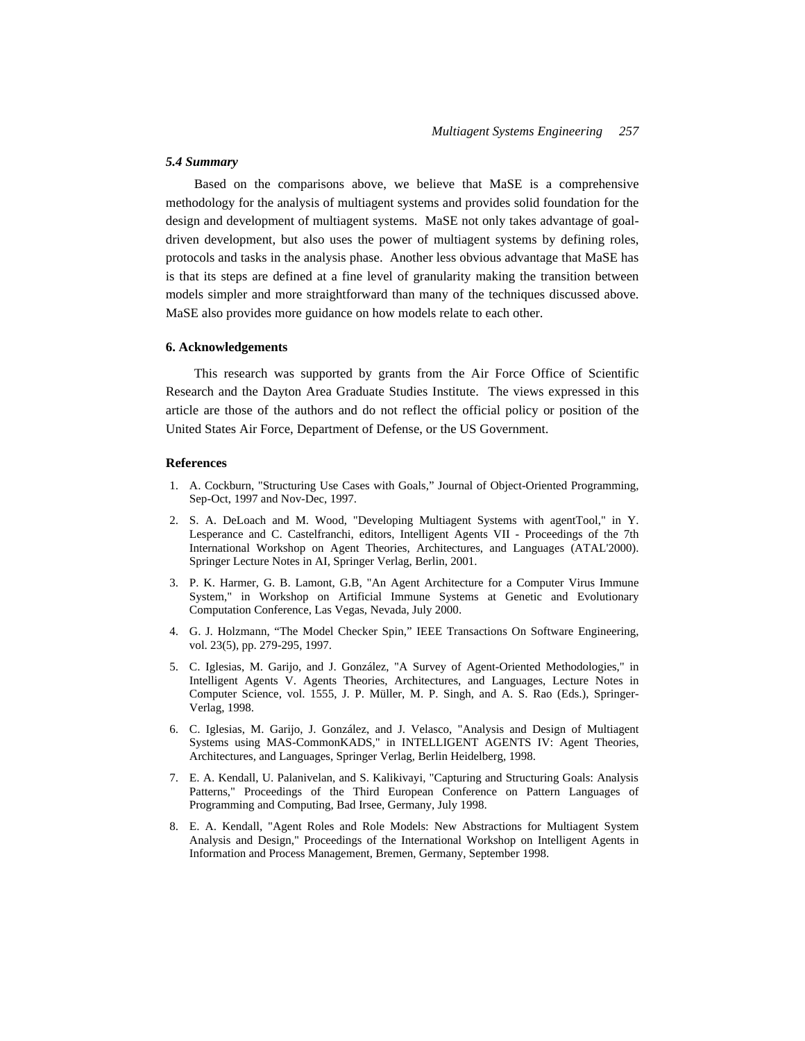### *5.4 Summary*

Based on the comparisons above, we believe that MaSE is a comprehensive methodology for the analysis of multiagent systems and provides solid foundation for the design and development of multiagent systems. MaSE not only takes advantage of goaldriven development, but also uses the power of multiagent systems by defining roles, protocols and tasks in the analysis phase. Another less obvious advantage that MaSE has is that its steps are defined at a fine level of granularity making the transition between models simpler and more straightforward than many of the techniques discussed above. MaSE also provides more guidance on how models relate to each other.

# **6. Acknowledgements**

This research was supported by grants from the Air Force Office of Scientific Research and the Dayton Area Graduate Studies Institute. The views expressed in this article are those of the authors and do not reflect the official policy or position of the United States Air Force, Department of Defense, or the US Government.

## **References**

- 1. A. Cockburn, "Structuring Use Cases with Goals," Journal of Object-Oriented Programming, Sep-Oct, 1997 and Nov-Dec, 1997.
- 2. S. A. DeLoach and M. Wood, "Developing Multiagent Systems with agentTool," in Y. Lesperance and C. Castelfranchi, editors, Intelligent Agents VII - Proceedings of the 7th International Workshop on Agent Theories, Architectures, and Languages (ATAL'2000). Springer Lecture Notes in AI, Springer Verlag, Berlin, 2001.
- 3. P. K. Harmer, G. B. Lamont, G.B, "An Agent Architecture for a Computer Virus Immune System," in Workshop on Artificial Immune Systems at Genetic and Evolutionary Computation Conference, Las Vegas, Nevada, July 2000.
- 4. G. J. Holzmann, "The Model Checker Spin," IEEE Transactions On Software Engineering, vol. 23(5), pp. 279-295, 1997.
- 5. C. Iglesias, M. Garijo, and J. González, "A Survey of Agent-Oriented Methodologies," in Intelligent Agents V. Agents Theories, Architectures, and Languages, Lecture Notes in Computer Science, vol. 1555, J. P. Müller, M. P. Singh, and A. S. Rao (Eds.), Springer-Verlag, 1998.
- 6. C. Iglesias, M. Garijo, J. González, and J. Velasco, "Analysis and Design of Multiagent Systems using MAS-CommonKADS," in INTELLIGENT AGENTS IV: Agent Theories, Architectures, and Languages, Springer Verlag, Berlin Heidelberg, 1998.
- 7. E. A. Kendall, U. Palanivelan, and S. Kalikivayi, "Capturing and Structuring Goals: Analysis Patterns," Proceedings of the Third European Conference on Pattern Languages of Programming and Computing, Bad Irsee, Germany, July 1998.
- 8. E. A. Kendall, "Agent Roles and Role Models: New Abstractions for Multiagent System Analysis and Design," Proceedings of the International Workshop on Intelligent Agents in Information and Process Management, Bremen, Germany, September 1998.